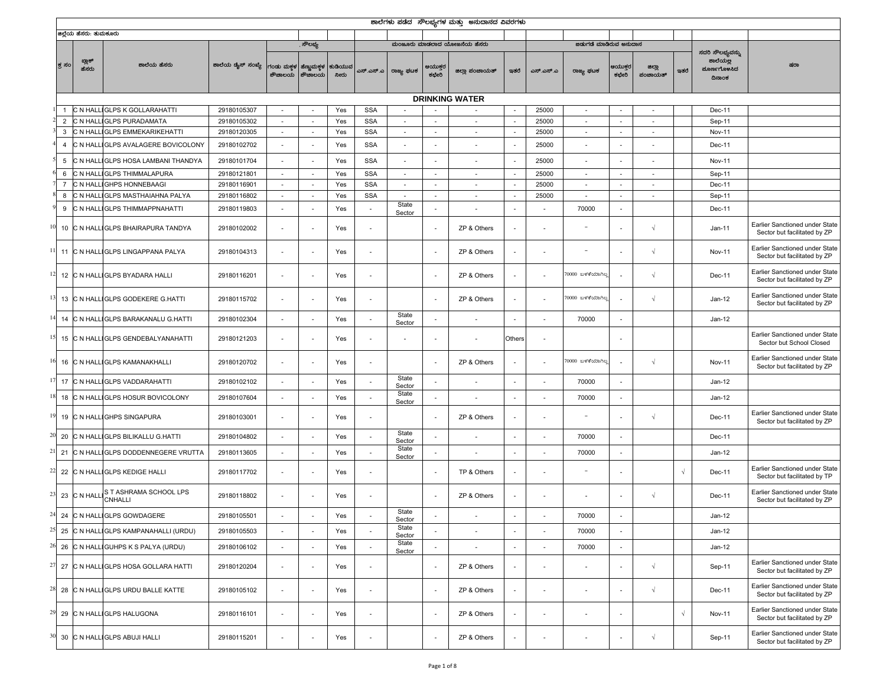|                |                        |                                            |                   |                                  |                          |                 |                          |                          |                          | ಶಾಲೆಗಳು ಪಡೆದ  ಸೌಲಭ್ಯಗಳ ಮತ್ತು  ಅನುದಾನದ ವಿವರಗಳು |                          |                          |                              |                          |                          |            |                                                       |                                                                |
|----------------|------------------------|--------------------------------------------|-------------------|----------------------------------|--------------------------|-----------------|--------------------------|--------------------------|--------------------------|-----------------------------------------------|--------------------------|--------------------------|------------------------------|--------------------------|--------------------------|------------|-------------------------------------------------------|----------------------------------------------------------------|
|                | ಜಿಲ್ಲೆಯ ಹೆಸರು: ತುಮಕೂರು |                                            |                   |                                  |                          |                 |                          |                          |                          |                                               |                          |                          |                              |                          |                          |            |                                                       |                                                                |
|                |                        |                                            |                   |                                  | ್ೌಲಭ್ಯ                   |                 |                          |                          |                          | ಮಂಜೂರು ಮಾಡಲಾದ ಯೋಜನೆಯ ಹೆಸರು                    |                          |                          | ಜಿಡುಗಡೆ ಮಾಡಿರುವ ಅನುದಾನ       |                          |                          |            |                                                       |                                                                |
| ಕ್ರ ಸಂ         | ಬ್ಲಾಕ್<br>ಹೆಸರು        | ಶಾಲೆಯ ಹೆಸರು                                | ಶಾಲೆಯ ಡೈಸ್ ಸಂಖ್ಯೆ | ಗಂಡು ಮಕ್ಕಳ ಹೆಣ್ಣುಮಕ್ಕಳ<br>ಶೌಚಾಲಯ | ಶೌಚಾಲಯ                   | ಕುಡಿಯುವ<br>ನೀರು | ಎಸ್.ಎಸ್.ಎ                | ರಾಜ್ಯ ಫಟಕ                | ಆಯುಕ್ತರ<br>ಕಛೇರಿ         | ಜಿಲ್ಲಾ ಪಂಚಾಯತ್                                | ಇತರೆ                     | ಎಸ್.ಎಸ್.ಎ                | ರಾಜ್ಯ ಫಟಕ                    | ಆಯುಕ್ತರ<br>ಕಛೇರಿ         | ಜಿಲ್ಲಾ<br>ಪಂಚಾಯತ್        | ಇತರೆ       | ಸದರಿ ಸೌಲಭ್ಯವನ್ನು<br>ಶಾಲೆಯಲ್ಲ<br>ಮೂರ್ಣಗೊಳಸಿದ<br>ದಿನಾಂಕ | ಷರಾ                                                            |
|                |                        |                                            |                   |                                  |                          |                 |                          |                          |                          | <b>DRINKING WATER</b>                         |                          |                          |                              |                          |                          |            |                                                       |                                                                |
|                | C N HAL                | <b>IGLPS K GOLLARAHATTI</b>                | 29180105307       | $\overline{\phantom{a}}$         | $\overline{\phantom{a}}$ | Yes             | <b>SSA</b>               |                          |                          | $\overline{\phantom{a}}$                      |                          | 25000                    | $\overline{\phantom{a}}$     | $\overline{a}$           |                          |            | Dec-11                                                |                                                                |
| $\overline{2}$ | C N HAL                | <b>GLPS PURADAMATA</b>                     | 29180105302       | $\overline{\phantom{a}}$         | $\overline{\phantom{a}}$ | Yes             | <b>SSA</b>               |                          | $\overline{\phantom{a}}$ | $\overline{\phantom{a}}$                      | $\overline{\phantom{a}}$ | 25000                    | $\overline{\phantom{a}}$     | ÷,                       |                          |            | Sep-11                                                |                                                                |
| 3              | C N HAL                | <b>GLPS EMMEKARIKEHATTI</b>                | 29180120305       | $\sim$                           | $\overline{\phantom{a}}$ | Yes             | <b>SSA</b>               | $\overline{\phantom{a}}$ | $\overline{\phantom{a}}$ | $\sim$                                        | $\sim$                   | 25000                    | $\sim$                       | $\sim$                   | $\sim$                   |            | <b>Nov-11</b>                                         |                                                                |
| $\overline{4}$ |                        | C N HALLIGLPS AVALAGERE BOVICOLONY         | 29180102702       | ä,                               |                          | Yes             | <b>SSA</b>               |                          |                          |                                               | $\overline{\phantom{a}}$ | 25000                    |                              |                          |                          |            | Dec-11                                                |                                                                |
| 5              |                        | C N HALLIGLPS HOSA LAMBANI THANDYA         | 29180101704       | $\overline{\phantom{a}}$         |                          | Yes             | <b>SSA</b>               | ×,                       | $\overline{\phantom{a}}$ | $\overline{\phantom{a}}$                      |                          | 25000                    | $\qquad \qquad \blacksquare$ |                          |                          |            | Nov-11                                                |                                                                |
| 6              | C N HAL                | IGLPS THIMMALAPURA                         | 29180121801       | $\sim$                           | $\overline{\phantom{a}}$ | Yes             | SSA                      | $\sim$                   | $\overline{\phantom{a}}$ | $\overline{\phantom{a}}$                      | $\overline{\phantom{a}}$ | 25000                    | $\overline{\phantom{a}}$     | $\sim$                   | $\overline{\phantom{a}}$ |            | Sep-11                                                |                                                                |
|                | C N HAL                | <b>GHPS HONNEBAAGI</b>                     | 29180116901       | $\overline{\phantom{a}}$         | $\overline{\phantom{a}}$ | Yes             | <b>SSA</b>               |                          | ä,                       | $\overline{\phantom{a}}$                      |                          | 25000                    | $\overline{\phantom{a}}$     | $\overline{\phantom{a}}$ |                          |            | Dec-11                                                |                                                                |
| 8              | C N HALLI              | GLPS MASTHAIAHNA PALYA                     | 29180116802       | $\sim$                           | $\sim$                   | Yes             | <b>SSA</b>               | $\overline{\phantom{a}}$ | $\overline{\phantom{a}}$ | $\sim$                                        | $\overline{\phantom{a}}$ | 25000                    | $\overline{\phantom{a}}$     | $\sim$                   | $\sim$                   |            | Sep-11                                                |                                                                |
| 9              |                        | C N HALLIGLPS THIMMAPPNAHATTI              | 29180119803       | ÷.                               |                          | Yes             | $\sim$                   | State<br>Sector          |                          | $\overline{\phantom{a}}$                      | ٠                        |                          | 70000                        | ÷,                       |                          |            | Dec-11                                                |                                                                |
| 10             |                        | C N HALLIGLPS BHAIRAPURA TANDYA            | 29180102002       | $\overline{\phantom{a}}$         |                          | Yes             | $\overline{\phantom{a}}$ |                          | $\overline{\phantom{a}}$ | ZP & Others                                   | $\overline{\phantom{a}}$ | $\overline{\phantom{a}}$ | $\overline{\phantom{a}}$     |                          | $\sqrt{ }$               |            | $Jan-11$                                              | Earlier Sanctioned under State<br>Sector but facilitated by ZP |
| 11             |                        | C N HALLIGLPS LINGAPPANA PALYA             | 29180104313       | ä,                               | $\overline{\phantom{a}}$ | Yes             | $\overline{\phantom{a}}$ |                          | $\overline{\phantom{a}}$ | ZP & Others                                   |                          | $\overline{\phantom{a}}$ | $\overline{\phantom{a}}$     |                          | $\sqrt{ }$               |            | <b>Nov-11</b>                                         | Earlier Sanctioned under State<br>Sector but facilitated by ZP |
| 12             |                        | C N HALLIGLPS BYADARA HALLI                | 29180116201       | $\overline{\phantom{a}}$         |                          | Yes             | $\sim$                   |                          | $\overline{\phantom{a}}$ | ZP & Others                                   | $\overline{\phantom{a}}$ | ٠                        | '0000 ಬಳಕೆಯಾಗಿಲ್ಲ            |                          | $\sqrt{ }$               |            | Dec-11                                                | Earlier Sanctioned under State<br>Sector but facilitated by ZP |
| 13             |                        | C N HALLIGLPS GODEKERE G.HATTI             | 29180115702       |                                  |                          | Yes             | $\overline{\phantom{a}}$ |                          | $\overline{\phantom{a}}$ | ZP & Others                                   |                          | $\blacksquare$           | 70000 ಬಳಕೆಯಾಗಿಲ್ಲ            |                          | $\sqrt{ }$               |            | $Jan-12$                                              | Earlier Sanctioned under State<br>Sector but facilitated by ZP |
| 14             |                        | C N HALLIGLPS BARAKANALU G.HATTI           | 29180102304       | $\overline{\phantom{a}}$         | $\overline{\phantom{a}}$ | Yes             | $\overline{\phantom{a}}$ | State<br>Sector          | $\overline{\phantom{a}}$ | $\overline{\phantom{a}}$                      | $\overline{a}$           | $\overline{\phantom{a}}$ | 70000                        | $\overline{\phantom{a}}$ |                          |            | $Jan-12$                                              |                                                                |
|                |                        | 15 C N HALLIGLPS GENDEBALYANAHATTI         | 29180121203       | $\overline{a}$                   |                          | Yes             | $\overline{\phantom{a}}$ |                          | $\overline{\phantom{a}}$ | $\overline{a}$                                | Others                   | $\overline{\phantom{a}}$ |                              |                          |                          |            |                                                       | Earlier Sanctioned under State<br>Sector but School Closed     |
| 16             |                        | C N HALLIGLPS KAMANAKHALLI                 | 29180120702       | $\overline{\phantom{a}}$         |                          | Yes             | $\overline{\phantom{a}}$ |                          | $\overline{\phantom{a}}$ | ZP & Others                                   | $\overline{\phantom{a}}$ | ٠                        | 70000 ಬಳಕೆಯಾಗಿಲ್ಲ            | $\overline{a}$           | $\sqrt{ }$               |            | <b>Nov-11</b>                                         | Earlier Sanctioned under State<br>Sector but facilitated by ZP |
| 17             |                        | C N HALLIGLPS VADDARAHATTI                 | 29180102102       | $\overline{\phantom{a}}$         |                          | Yes             | $\overline{\phantom{a}}$ | State<br>Sector          | $\overline{a}$           |                                               | $\overline{\phantom{a}}$ |                          | 70000                        | $\overline{a}$           |                          |            | $Jan-12$                                              |                                                                |
| 18             |                        | C N HALLIGLPS HOSUR BOVICOLONY             | 29180107604       | ä,                               |                          | Yes             | $\overline{\phantom{a}}$ | State<br>Sector          |                          |                                               | $\overline{\phantom{a}}$ |                          | 70000                        |                          |                          |            | Jan-12                                                |                                                                |
| 19             |                        | C N HALLIGHPS SINGAPURA                    | 29180103001       | $\sim$                           |                          | Yes             | $\sim$                   |                          | $\overline{\phantom{a}}$ | ZP & Others                                   | ٠                        | ٠                        | $\overline{\phantom{a}}$     | ٠                        | $\sqrt{ }$               |            | Dec-11                                                | Earlier Sanctioned under State<br>Sector but facilitated by ZP |
| 20             |                        | C N HALLIGLPS BILIKALLU G.HATTI            | 29180104802       | $\overline{\phantom{a}}$         |                          | Yes             | $\overline{\phantom{a}}$ | State<br>Sector          |                          | $\overline{\phantom{a}}$                      | ٠                        | ٠                        | 70000                        | $\overline{a}$           |                          |            | Dec-11                                                |                                                                |
|                |                        | 21 C N HALLIGLPS DODDENNEGERE VRUTTA       | 29180113605       | $\overline{a}$                   |                          | Yes             | $\overline{\phantom{a}}$ | State<br>Sector          | $\overline{\phantom{a}}$ |                                               | $\overline{\phantom{a}}$ | $\overline{\phantom{a}}$ | 70000                        | $\overline{\phantom{a}}$ |                          |            | $Jan-12$                                              |                                                                |
| 22             |                        | C N HALLIGLPS KEDIGE HALLI                 | 29180117702       | $\overline{\phantom{a}}$         |                          | Yes             | $\sim$                   |                          | $\overline{\phantom{a}}$ | TP & Others                                   | $\overline{\phantom{a}}$ | ٠                        | $\sim$                       |                          |                          | $\sqrt{ }$ | Dec-11                                                | Earlier Sanctioned under State<br>Sector but facilitated by TP |
| 23             |                        | C N HALL S T ASHRAMA SCHOOL LPS<br>CNHALLI | 29180118802       | $\sim$                           |                          | Yes             | $\overline{\phantom{a}}$ |                          | $\overline{\phantom{a}}$ | ZP & Others                                   | $\overline{\phantom{a}}$ |                          |                              | $\overline{\phantom{a}}$ | $\sqrt{ }$               |            | Dec-11                                                | Earlier Sanctioned under State<br>Sector but facilitated by ZP |
|                |                        | 24 C N HALLIGLPS GOWDAGERE                 | 29180105501       |                                  |                          | Yes             |                          | State<br>Sector          |                          |                                               | $\overline{\phantom{a}}$ |                          | 70000                        |                          |                          |            | $Jan-12$                                              |                                                                |
| 25             |                        | C N HALLIGLPS KAMPANAHALLI (URDU)          | 29180105503       | ÷,                               |                          | Yes             | ÷.                       | State<br>Sector          |                          | $\overline{\phantom{a}}$                      | ٠                        | ÷.                       | 70000                        | ÷,                       |                          |            | $Jan-12$                                              |                                                                |
| 26             |                        | C N HALLIGUHPS K S PALYA (URDU)            | 29180106102       |                                  | $\overline{\phantom{a}}$ | Yes             | $\overline{\phantom{a}}$ | State<br>Sector          |                          | $\overline{\phantom{a}}$                      | $\overline{\phantom{a}}$ | $\overline{a}$           | 70000                        | ÷,                       |                          |            | $Jan-12$                                              |                                                                |
|                |                        | 27 C N HALLIGLPS HOSA GOLLARA HATTI        | 29180120204       | $\sim$                           |                          | Yes             | ÷                        |                          | $\overline{\phantom{a}}$ | ZP & Others                                   | $\overline{\phantom{a}}$ | ٠                        | ٠                            | ٠                        | $\sqrt{ }$               |            | Sep-11                                                | Earlier Sanctioned under State<br>Sector but facilitated by ZP |
| 28             |                        | C N HALLIGLPS URDU BALLE KATTE             | 29180105102       | $\overline{\phantom{a}}$         |                          | Yes             | $\overline{\phantom{a}}$ |                          | $\overline{\phantom{a}}$ | ZP & Others                                   | $\overline{\phantom{a}}$ | $\overline{\phantom{a}}$ | $\qquad \qquad \blacksquare$ | $\overline{a}$           | $\sqrt{ }$               |            | Dec-11                                                | Earlier Sanctioned under State<br>Sector but facilitated by ZP |
|                |                        | 29 C N HALLIGLPS HALUGONA                  | 29180116101       | ٠                                | $\overline{\phantom{a}}$ | Yes             | $\overline{\phantom{a}}$ |                          | $\overline{\phantom{a}}$ | ZP & Others                                   | $\overline{\phantom{a}}$ | $\overline{\phantom{a}}$ | $\overline{\phantom{a}}$     | $\overline{a}$           |                          | $\sqrt{ }$ | <b>Nov-11</b>                                         | Earlier Sanctioned under State<br>Sector but facilitated by ZP |
|                |                        | 30 C N HALLIGLPS ABUJI HALLI               | 29180115201       | $\overline{\phantom{a}}$         |                          | Yes             | $\overline{\phantom{a}}$ |                          | $\overline{\phantom{a}}$ | ZP & Others                                   | $\overline{\phantom{a}}$ | $\overline{\phantom{a}}$ | $\overline{\phantom{m}}$     | $\overline{\phantom{a}}$ | $\sqrt{ }$               |            | Sep-11                                                | Earlier Sanctioned under State<br>Sector but facilitated by ZP |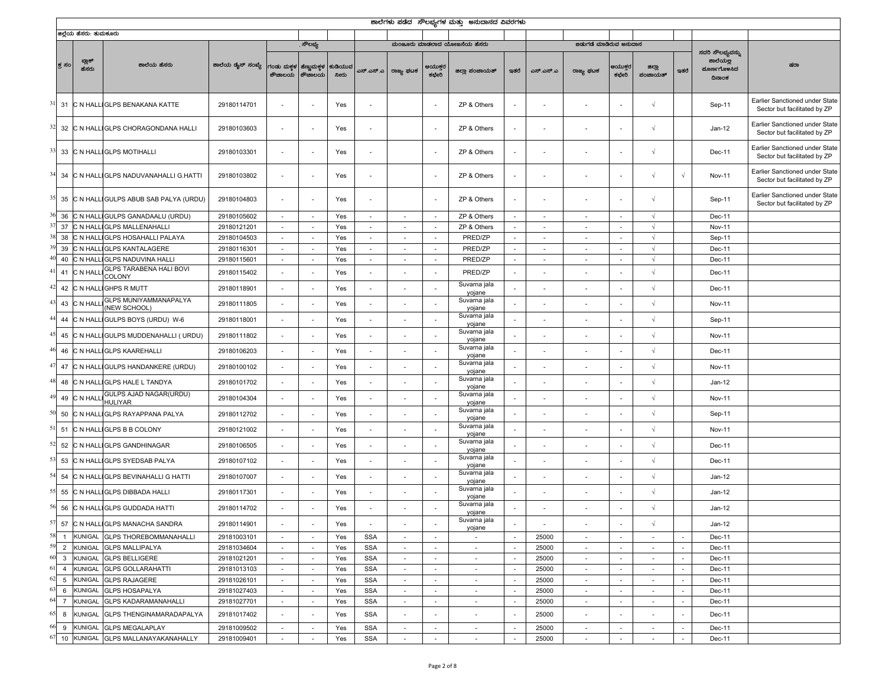|                         |                        |                                                              |                            |                                    |                          |                 |                          |                          |                                    | ಶಾಲೆಗಳು ಪಡೆದ  ಸೌಲಭ್ಯಗಳ ಮತ್ತು  ಅನುದಾನದ ವಿವರಗಳು |                          |                          |                          |                                    |                          |                          |                                   |                                                                |
|-------------------------|------------------------|--------------------------------------------------------------|----------------------------|------------------------------------|--------------------------|-----------------|--------------------------|--------------------------|------------------------------------|-----------------------------------------------|--------------------------|--------------------------|--------------------------|------------------------------------|--------------------------|--------------------------|-----------------------------------|----------------------------------------------------------------|
|                         | ಜಿಲ್ಲೆಯ ಹೆಸರು: ತುಮಕೂರು |                                                              |                            |                                    |                          |                 |                          |                          |                                    |                                               |                          |                          |                          |                                    |                          |                          |                                   |                                                                |
|                         |                        |                                                              |                            |                                    | ್ೌಲಭ್ಯ                   |                 |                          |                          |                                    | ಮಂಜೂರು ಮಾಡಲಾದ ಯೋಜನೆಯ ಹೆಸರು                    |                          |                          | ಜಡುಗಡೆ ಮಾಡಿರುವ ಅನುದಾನ    |                                    |                          |                          | ಸದರಿ ಸೌಲಭ್ಯವನ್ನು                  |                                                                |
| ಕ್ತ ಸಂ                  | ಬ್ಲಾಕ್<br>ಹೆಸರು        | ಶಾಲೆಯ ಹೆಸರು                                                  | ಶಾಲೆಯ ಡೈಸ್ ಸಂಖ್ಯೆ          | ಗಂಡು ಮಕ್ತಳ<br>ಶೌಚಾಲಯ               | ಹೆಣ್ಣುಮಕ್ತಳ<br>ಶೌಚಾಲಯ    | ಕುಡಿಯುವ<br>ನೀರು | ಎಸ್.ಎಸ್.ಎ                | ರಾಜ್ಯ ಫಟಕ                | ಆಯುಕ್ತರ<br>ಕಛೇರಿ                   | ಜಿಲ್ಲಾ ಪಂಚಾಯತ್                                | ಇತರೆ                     | ಎಸ್.ಎಸ್.ಎ                | ರಾಜ್ಯ ಘಟಕ                | ಆಯುಕ್ತರ<br>ಕಛೇರಿ                   | ಜಿಲ್ಲಾ<br>ಪಂಚಾಯತ್        | ಇತರೆ                     | ಶಾಲೆಯಲ್ಲ<br>ಮೂರ್ಣಗೊಳಸಿದ<br>ದಿನಾಂಕ | ಷರಾ                                                            |
| 31                      |                        | C N HALLIGLPS BENAKANA KATTE                                 | 29180114701                |                                    |                          | Yes             | $\overline{\phantom{a}}$ |                          | $\overline{\phantom{a}}$           | ZP & Others                                   |                          | ٠                        |                          |                                    | $\sqrt{ }$               |                          | Sep-11                            | Earlier Sanctioned under State<br>Sector but facilitated by ZP |
| 32                      |                        | C N HALLIGLPS CHORAGONDANA HALLI                             | 29180103603                | ٠                                  | $\overline{\phantom{a}}$ | Yes             | $\overline{\phantom{a}}$ |                          | $\sim$                             | ZP & Others                                   | $\overline{\phantom{a}}$ | ٠                        | $\overline{\phantom{a}}$ | ٠                                  | $\sqrt{ }$               |                          | $Jan-12$                          | Earlier Sanctioned under State<br>Sector but facilitated by ZP |
|                         |                        | 33 C N HALLIGLPS MOTIHALLI                                   | 29180103301                | ٠                                  |                          | Yes             | $\overline{\phantom{a}}$ |                          | $\overline{\phantom{a}}$           | ZP & Others                                   |                          |                          | ٠                        |                                    | $\sqrt{ }$               |                          | Dec-11                            | Earlier Sanctioned under State<br>Sector but facilitated by ZP |
| 34                      |                        | C N HALLIGLPS NADUVANAHALLI G.HATTI                          | 29180103802                | $\sim$                             |                          | Yes             | $\overline{\phantom{a}}$ |                          | $\overline{\phantom{a}}$           | ZP & Others                                   | ٠                        | ٠                        | ٠                        |                                    | $\sqrt{ }$               | $\sqrt{ }$               | Nov-11                            | Earlier Sanctioned under State<br>Sector but facilitated by ZP |
| 35                      |                        | C N HALLIGULPS ABUB SAB PALYA (URDU)                         | 29180104803                | ٠                                  |                          | Yes             | $\overline{\phantom{a}}$ |                          | $\overline{\phantom{a}}$           | ZP & Others                                   |                          |                          |                          |                                    | $\sqrt{ }$               |                          | Sep-11                            | Earlier Sanctioned under State<br>Sector but facilitated by ZP |
| 36                      |                        | CN HALLIGULPS GANADAALU (URDU)                               | 29180105602                | $\sim$                             | $\overline{\phantom{a}}$ | Yes             | $\sim$                   | $\sim$                   | $\sim$                             | ZP & Others                                   | $\sim$                   | $\overline{\phantom{a}}$ | $\sim$                   | $\sim$                             | $\sqrt{ }$               |                          | Dec-11                            |                                                                |
| 37                      |                        | C N HALLIGLPS MALLENAHALLI                                   | 29180121201                | $\sim$                             | $\overline{\phantom{a}}$ | Yes             | $\sim$                   | ٠                        | $\sim$                             | ZP & Others                                   | $\sim$                   | $\overline{\phantom{a}}$ | $\overline{\phantom{a}}$ | $\overline{\phantom{a}}$           | $\sqrt{ }$               |                          | <b>Nov-11</b>                     |                                                                |
| 38                      | : N HALI               | <b>GLPS HOSAHALLI PALAYA</b>                                 | 29180104503                | $\overline{\phantom{a}}$           | $\overline{\phantom{a}}$ | Yes             | $\sim$                   |                          | $\sim$                             | PRED/ZP                                       | $\sim$                   | $\overline{\phantom{a}}$ | $\overline{\phantom{a}}$ | $\overline{\phantom{a}}$           | $\sqrt{ }$               |                          | Sep-11                            |                                                                |
| 39                      | : N HAL                | <b>GLPS KANTALAGERE</b>                                      | 29180116301                | $\overline{\phantom{a}}$           | $\overline{\phantom{a}}$ | Yes             | $\sim$                   |                          | $\sim$                             | PRED/ZP                                       | $\overline{\phantom{a}}$ | $\overline{\phantom{a}}$ | $\overline{\phantom{a}}$ | $\overline{\phantom{a}}$           | $\sqrt{ }$               |                          | Dec-11                            |                                                                |
| 40                      | C N HALL               | <b>GLPS NADUVINA HALLI</b><br><b>GLPS TARABENA HALI BOVI</b> | 29180115601                | $\sim$                             | $\overline{\phantom{a}}$ | Yes             | $\sim$                   | ٠                        | $\sim$                             | PRED/ZP                                       | $\sim$                   | $\overline{\phantom{a}}$ | $\sim$                   | $\sim$                             | $\sqrt{ }$               |                          | Dec-11                            |                                                                |
| 41                      | C N HAL                | COLONY                                                       | 29180115402                | ٠                                  |                          | Yes             | $\overline{\phantom{a}}$ |                          | $\overline{\phantom{a}}$           | PRED/ZP                                       | $\sim$                   |                          |                          |                                    | $\sqrt{ }$               |                          | Dec-11                            |                                                                |
| 42                      |                        | C N HALLIGHPS R MUTT                                         | 29180118901                | $\overline{\phantom{a}}$           | $\overline{\phantom{a}}$ | Yes             | $\overline{\phantom{a}}$ |                          | $\overline{\phantom{a}}$           | Suvarna jala<br>yojane                        | $\overline{\phantom{a}}$ |                          |                          |                                    | $\sqrt{ }$               |                          | Dec-11                            |                                                                |
| 43                      | C N HAL                | GLPS MUNIYAMMANAPALYA<br>(NEW SCHOOL)                        | 29180111805                | $\overline{\phantom{a}}$           |                          | Yes             | $\overline{\phantom{a}}$ |                          | $\overline{\phantom{a}}$           | Suvarna jala<br>yojane                        |                          |                          |                          |                                    | $\sqrt{ }$               |                          | Nov-11                            |                                                                |
| 44                      |                        | C N HALLIGULPS BOYS (URDU) W-6                               | 29180118001                | ٠                                  |                          | Yes             | ÷.                       |                          | $\overline{\phantom{a}}$           | Suvarna jala<br>yojane                        | ٠                        |                          |                          |                                    | $\sqrt{ }$               |                          | Sep-11                            |                                                                |
| 45                      |                        | C N HALLIGULPS MUDDENAHALLI ( URDU)                          | 29180111802                | $\overline{\phantom{a}}$           |                          | Yes             | $\overline{\phantom{a}}$ |                          | $\overline{\phantom{a}}$           | Suvarna jala<br>yojane                        |                          |                          |                          |                                    | $\sqrt{ }$               |                          | Nov-11                            |                                                                |
| 46                      |                        | C N HALLIGLPS KAAREHALLI                                     | 29180106203                | $\overline{\phantom{a}}$           |                          | Yes             | $\overline{\phantom{a}}$ |                          | $\overline{\phantom{a}}$           | Suvarna jala<br>yojane                        |                          |                          |                          |                                    | $\sqrt{ }$               |                          | Dec-11                            |                                                                |
| 47                      |                        | C N HALLIGULPS HANDANKERE (URDU)                             | 29180100102                |                                    |                          | Yes             | $\overline{\phantom{a}}$ |                          | $\sim$                             | Suvarna jala<br>yojane                        | $\overline{\phantom{a}}$ |                          |                          |                                    | $\sqrt{ }$               |                          | Nov-11                            |                                                                |
| 48                      |                        | C N HALLIGLPS HALE L TANDYA                                  | 29180101702                | $\overline{\phantom{a}}$           | $\overline{\phantom{a}}$ | Yes             | $\overline{\phantom{a}}$ |                          | $\overline{\phantom{a}}$           | Suvarna jala<br>yojane                        | $\overline{\phantom{a}}$ |                          |                          |                                    | $\sqrt{ }$               |                          | $Jan-12$                          |                                                                |
|                         | 49 C N HALI            | GULPS AJAD NAGAR(URDU)<br><b>HULIYAR</b>                     | 29180104304                | $\overline{\phantom{a}}$           |                          | Yes             | $\overline{\phantom{a}}$ |                          | $\overline{\phantom{a}}$           | Suvarna jala<br>yojane                        |                          |                          |                          |                                    | $\sqrt{ }$               |                          | Nov-11                            |                                                                |
| 50                      |                        | C N HALLIGLPS RAYAPPANA PALYA                                | 29180112702                |                                    |                          | Yes             |                          |                          |                                    | Suvarna jala<br>yojane                        |                          |                          |                          |                                    | $\sqrt{ }$               |                          | Sep-11                            |                                                                |
| 51                      |                        | C N HALLIGLPS B B COLONY                                     | 29180121002                | $\overline{\phantom{a}}$           | $\overline{\phantom{a}}$ | Yes             | $\overline{\phantom{a}}$ |                          | $\overline{\phantom{a}}$           | Suvarna jala<br>yojane                        | $\overline{\phantom{a}}$ | ä,                       | $\overline{\phantom{a}}$ | $\overline{\phantom{a}}$           | $\sqrt{ }$               |                          | Nov-11                            |                                                                |
| 52                      |                        | C N HALLIGLPS GANDHINAGAR                                    | 29180106505                | $\sim$                             | $\overline{\phantom{a}}$ | Yes             | $\overline{\phantom{a}}$ |                          | $\sim$                             | Suvarna jala<br>yojane                        |                          |                          |                          | $\overline{\phantom{a}}$           | $\sqrt{ }$               |                          | Dec-11                            |                                                                |
| 53                      |                        | C N HALLIGLPS SYEDSAB PALYA                                  | 29180107102                |                                    |                          | Yes             |                          |                          |                                    | Suvarna jala<br>yojane                        |                          |                          |                          |                                    | $\sqrt{ }$               |                          | Dec-11                            |                                                                |
| 54                      |                        | C N HALLIGLPS BEVINAHALLI G HATTI                            | 29180107007                | $\overline{\phantom{a}}$           | ÷,                       | Yes             | $\overline{\phantom{a}}$ |                          | $\overline{\phantom{a}}$           | Suvarna jala<br>yojane                        | $\overline{\phantom{a}}$ | ä,                       | $\overline{\phantom{a}}$ | ٠                                  | $\sqrt{ }$               |                          | $Jan-12$                          |                                                                |
|                         |                        | 55 C N HALLIGLPS DIBBADA HALLI                               | 29180117301                | $\overline{\phantom{a}}$           |                          | Yes             | $\overline{\phantom{a}}$ |                          | $\sim$                             | Suvarna jala<br>yojane                        | $\overline{\phantom{a}}$ |                          |                          | $\overline{a}$                     | $\sqrt{ }$               |                          | $Jan-12$                          |                                                                |
| 56                      |                        | C N HALLIGLPS GUDDADA HATTI                                  | 29180114702                |                                    |                          | Yes             | $\overline{\phantom{a}}$ |                          |                                    | Suvarna jala<br>yojane                        |                          |                          |                          |                                    | $\sqrt{ }$               |                          | Jan-12                            |                                                                |
|                         |                        | 57 C N HALLIGLPS MANACHA SANDRA                              | 29180114901                | $\overline{\phantom{a}}$           | $\overline{\phantom{a}}$ | Yes             | $\sim$                   | $\overline{\phantom{a}}$ | $\sim$                             | Suvarna jala<br>yojane                        | $\overline{\phantom{a}}$ | $\sim$                   | $\sim$                   | $\overline{\phantom{a}}$           | $\sqrt{ }$               |                          | Jan-12                            |                                                                |
| $\mathbf{1}$            | <b>KUNIGAL</b>         | <b>GLPS THOREBOMMANAHALLI</b>                                | 29181003101                | $\overline{\phantom{a}}$           | $\sim$                   | Yes             | <b>SSA</b>               |                          | $\sim$                             | $\sim$                                        | $\sim$                   | 25000                    | $\overline{\phantom{a}}$ | $\overline{\phantom{a}}$           | $\overline{\phantom{a}}$ |                          | Dec-11                            |                                                                |
| $\overline{2}$          |                        | KUNIGAL GLPS MALLIPALYA                                      | 29181034604                | $\sim$                             | $\sim$                   | Yes             | <b>SSA</b>               |                          | $\sim$                             | $\sim$                                        | $\overline{\phantom{a}}$ | 25000                    | ٠                        | $\sim$                             | $\sim$                   |                          | Dec-11                            |                                                                |
| $\overline{\mathbf{3}}$ |                        | KUNIGAL GLPS BELLIGERE                                       | 29181021201                | $\sim$                             | $\sim$                   | Yes             | <b>SSA</b>               | $\sim$                   | $\sim$                             | $\sim$                                        | $\sim$                   | 25000                    | $\sim$                   | $\sim$                             | $\sim$                   | $\sim$                   | Dec-11                            |                                                                |
| $\overline{4}$          |                        | KUNIGAL GLPS GOLLARAHATTI                                    | 29181013103                | $\sim$                             | $\overline{\phantom{a}}$ | Yes             | <b>SSA</b>               | $\overline{\phantom{a}}$ | $\overline{\phantom{a}}$           | $\sim$                                        | $\sim$                   | 25000                    | $\overline{\phantom{a}}$ | $\sim$                             | $\sim$                   | $\overline{\phantom{a}}$ | Dec-11                            |                                                                |
| 5                       | KUNIGAL                | <b>GLPS RAJAGERE</b>                                         | 29181026101                | $\sim$                             | $\sim$                   | Yes             | <b>SSA</b>               |                          | $\sim$                             | $\sim$                                        | $\overline{\phantom{a}}$ | 25000                    | $\overline{\phantom{a}}$ | $\overline{\phantom{a}}$           | $\overline{\phantom{a}}$ | $\sim$                   | Dec-11                            |                                                                |
| 6<br>$\overline{7}$     | KUNIGAL<br>KUNIGAL     | <b>GLPS HOSAPALYA</b><br><b>GLPS KADARAMANAHALLI</b>         | 29181027403                | $\overline{\phantom{a}}$<br>$\sim$ | $\sim$                   | Yes<br>Yes      | <b>SSA</b><br><b>SSA</b> | $\sim$                   | $\overline{\phantom{a}}$<br>$\sim$ | $\overline{\phantom{a}}$<br>$\sim$            | $\overline{\phantom{a}}$ | 25000<br>25000           | $\overline{\phantom{a}}$ | $\overline{\phantom{a}}$<br>$\sim$ | $\sim$<br>$\sim$         |                          | Dec-11<br>Dec-11                  |                                                                |
| 8                       |                        | KUNIGAL GLPS THENGINAMARADAPALYA                             | 29181027701<br>29181017402 |                                    | $\overline{\phantom{a}}$ | Yes             | <b>SSA</b>               |                          |                                    | $\sim$                                        | $\sim$                   | 25000                    | $\overline{\phantom{a}}$ |                                    |                          | $\sim$                   | Dec-11                            |                                                                |
| 9                       | KUNIGAL                | <b>GLPS MEGALAPLAY</b>                                       | 29181009502                | $\overline{\phantom{a}}$           |                          | Yes             | <b>SSA</b>               |                          | $\overline{\phantom{a}}$           | $\sim$                                        |                          | 25000                    | $\sim$                   | $\overline{\phantom{a}}$           |                          |                          | Dec-11                            |                                                                |
|                         |                        | 10 KUNIGAL GLPS MALLANAYAKANAHALLY                           | 29181009401                | $\sim$                             | $\sim$                   | Yes             | <b>SSA</b>               | $\overline{\phantom{a}}$ | $\sim$                             | $\sim$                                        | $\sim$                   | 25000                    | $\sim$                   | $\sim$                             | $\sim$                   | $\sim$                   | Dec-11                            |                                                                |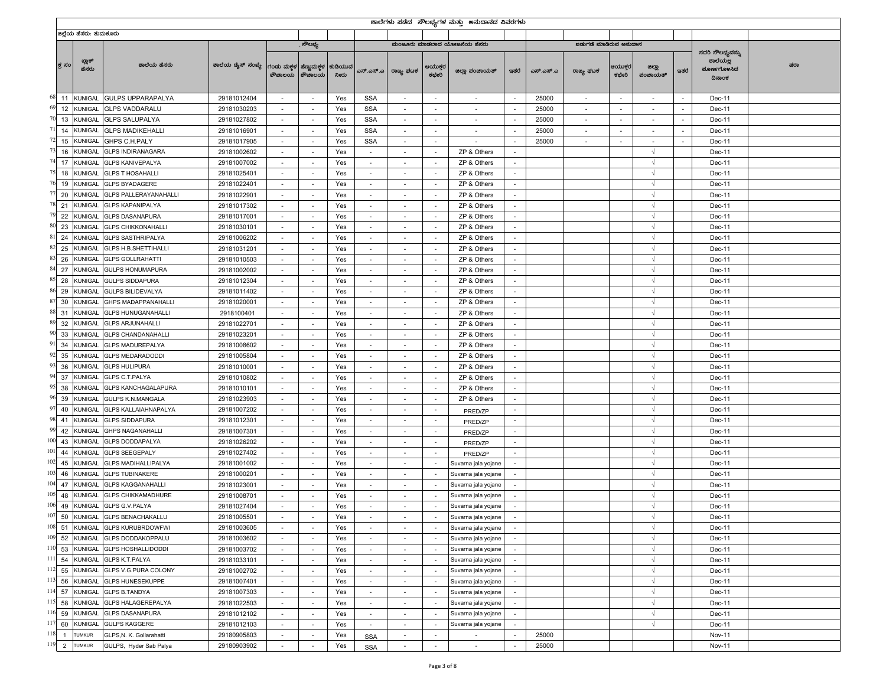|             |                |                        |                              |                                              |                          |                          |                 |                          |                          |                          | ಶಾಲೆಗಳು ಪಡೆದ  ಸೌಲಭ್ಯಗಳ ಮತ್ತು  ಅನುದಾನದ ವಿವರಗಳು |                          |           |                          |                          |                   |        |                                                       |     |
|-------------|----------------|------------------------|------------------------------|----------------------------------------------|--------------------------|--------------------------|-----------------|--------------------------|--------------------------|--------------------------|-----------------------------------------------|--------------------------|-----------|--------------------------|--------------------------|-------------------|--------|-------------------------------------------------------|-----|
|             |                | ಜಿಲ್ಲೆಯ ಹೆಸರು: ತುಮಕೂರು |                              |                                              |                          |                          |                 |                          |                          |                          |                                               |                          |           |                          |                          |                   |        |                                                       |     |
|             |                |                        |                              |                                              |                          | . ಸೌಲಭ್ಯ                 |                 |                          |                          |                          | ಮಂಜೂರು ಮಾಡಲಾದ ಯೋಜನೆಯ ಹೆಸರು                    |                          |           | ಜಡುಗಡೆ ಮಾಡಿರುವ ಅನುದಾನ    |                          |                   |        |                                                       |     |
|             | ಕ ಸಂ           | ಬ್ಲಾಕ್<br>ಹೆಸರು        | ಶಾಲೆಯ ಹೆಸರು                  | ಶಾಲೆಯ ಡೈಸ್ ಸಂಖ್ಯೆ   ಗಂಡು ಮಕ್ಕಳ   ಹೆಣ್ಣುಮಕ್ಕಳ |                          | ಶೌಚಾಲಯ   ಶೌಚಾಲಯ          | ಕುಡಿಯುವ<br>ನೀರು | ಎಸ್.ಎಸ್.ಎ                | ರಾಜ್ಯ ಫಟಕ                | ಆಯುಕ್ತರ<br>ಕಛೇರಿ         | ಜಿಲ್ಲಾ ಪಂಚಾಯತ್                                | ಇತರೆ                     | ಎಸ್.ಎಸ್.ಎ | ರಾಜ್ಯ ಫಟಕ                | ಆಯುಕ್ತರ<br>ಕಛೇರಿ         | ಜಿಲ್ಲಾ<br>ಪಂಚಾಯತ್ | ಇತರೆ   | ಸದರಿ ಸೌಲಭ್ಯವನ್ನು<br>ಶಾಲೆಯಲ್ಲ<br>ಮೂರ್ಣಗೊಳಸಿದ<br>ದಿನಾಂಕ | ಷರಾ |
| 68 11       |                | <b>KUNIGAL</b>         | <b>GULPS UPPARAPALYA</b>     | 29181012404                                  |                          | $\overline{\phantom{a}}$ | Yes             | <b>SSA</b>               |                          | $\overline{\phantom{a}}$ |                                               | $\sim$                   | 25000     |                          | $\overline{\phantom{a}}$ |                   | $\sim$ | Dec-11                                                |     |
| 69          | 12             | KUNIGAL                | <b>GLPS VADDARALU</b>        | 29181030203                                  | $\overline{\phantom{a}}$ | $\sim$                   | Yes             | <b>SSA</b>               | $\overline{\phantom{a}}$ | $\overline{\phantom{a}}$ | $\sim$                                        | $\overline{\phantom{a}}$ | 25000     | $\sim$                   | $\overline{\phantom{a}}$ | $\sim$            | $\sim$ | Dec-11                                                |     |
| 70          | 13             | KUNIGAL                | <b>GLPS SALUPALYA</b>        | 29181027802                                  | $\sim$                   | $\sim$                   | Yes             | <b>SSA</b>               | $\sim$                   | $\overline{\phantom{a}}$ |                                               | $\sim$                   | 25000     | $\overline{\phantom{a}}$ | $\sim$                   | $\sim$            | $\sim$ | Dec-11                                                |     |
| 71          | 14             | <b>KUNIGAL</b>         | <b>GLPS MADIKEHALLI</b>      | 29181016901                                  | $\sim$                   | $\sim$                   | Yes             | <b>SSA</b>               |                          | $\overline{\phantom{a}}$ |                                               | $\sim$                   | 25000     |                          | $\sim$                   | ۰                 | $\sim$ | Dec-11                                                |     |
| 72          | 15             | KUNIGAL                | GHPS C.H.PALY                | 29181017905                                  | $\sim$                   | $\sim$                   | Yes             | <b>SSA</b>               | $\sim$                   | $\sim$                   | $\sim$                                        | $\sim$                   | 25000     | $\sim$                   | $\sim$                   | $\sim$            | $\sim$ | Dec-11                                                |     |
| 73          | 16             | KUNIGAL                | <b>GLPS INDIRANAGARA</b>     | 29181002602                                  | $\sim$                   | $\overline{\phantom{a}}$ | Yes             | $\overline{\phantom{a}}$ |                          | $\overline{\phantom{a}}$ | ZP & Others                                   | $\sim$                   |           |                          |                          | $\sqrt{ }$        |        | Dec-11                                                |     |
| 74          | 17             | <b>KUNIGAL</b>         | <b>GLPS KANIVEPALYA</b>      | 29181007002                                  | $\overline{\phantom{a}}$ | $\sim$                   | Yes             | $\sim$                   | $\overline{\phantom{a}}$ | $\overline{\phantom{a}}$ | ZP & Others                                   | $\sim$                   |           |                          |                          | $\sqrt{ }$        |        | Dec-11                                                |     |
| 75          | 18             | KUNIGAL                | <b>GLPS T HOSAHALLI</b>      | 29181025401                                  | $\overline{\phantom{a}}$ | $\sim$                   | Yes             | $\overline{\phantom{a}}$ | $\sim$                   | $\overline{\phantom{a}}$ | ZP & Others                                   | $\sim$                   |           |                          |                          | $\sqrt{ }$        |        | Dec-11                                                |     |
| 76          | 19             | <b>KUNIGAL</b>         | <b>GLPS BYADAGERE</b>        | 29181022401                                  | $\sim$                   | $\sim$                   | Yes             | $\sim$                   |                          | $\overline{\phantom{a}}$ | ZP & Others                                   | $\sim$                   |           |                          |                          | $\sqrt{2}$        |        | Dec-11                                                |     |
| $7^{\circ}$ | 20             | KUNIGAL                | <b>GLPS PALLERAYANAHALLI</b> | 29181022901                                  | $\sim$                   | $\sim$                   | Yes             | $\sim$                   | $\overline{\phantom{a}}$ | $\sim$                   | ZP & Others                                   | $\sim$                   |           |                          |                          | $\sqrt{ }$        |        | Dec-11                                                |     |
| 78          | 21             | KUNIGAL                | <b>GLPS KAPANIPALYA</b>      | 29181017302                                  | $\sim$                   | $\overline{\phantom{a}}$ | Yes             | $\overline{\phantom{a}}$ |                          | $\overline{\phantom{a}}$ | ZP & Others                                   | $\sim$                   |           |                          |                          | $\sqrt{ }$        |        | Dec-11                                                |     |
| 79          | 22             | <b>KUNIGAL</b>         | <b>GLPS DASANAPURA</b>       | 29181017001                                  | $\overline{\phantom{a}}$ | $\overline{\phantom{a}}$ | Yes             | $\sim$                   | $\sim$                   | $\overline{\phantom{a}}$ | ZP & Others                                   | $\sim$                   |           |                          |                          | $\sqrt{ }$        |        | Dec-11                                                |     |
| 80          | 23             | KUNIGAL                | <b>GLPS CHIKKONAHALLI</b>    | 29181030101                                  | $\sim$                   | $\overline{\phantom{a}}$ | Yes             | $\overline{\phantom{a}}$ |                          | $\overline{\phantom{a}}$ | ZP & Others                                   | $\overline{\phantom{a}}$ |           |                          |                          | $\sqrt{ }$        |        | Dec-11                                                |     |
| 8           | 24             | <b>(UNIGAL</b>         | <b>GLPS SASTHRIPALYA</b>     | 29181006202                                  | $\sim$                   | $\sim$                   | Yes             |                          |                          |                          | ZP & Others                                   | $\overline{\phantom{a}}$ |           |                          |                          |                   |        | Dec-11                                                |     |
| 82          | 25             | KUNIGAL                | <b>GLPS H.B.SHETTIHALLI</b>  | 29181031201                                  | $\sim$                   | $\sim$                   | Yes             | $\sim$                   | $\overline{\phantom{a}}$ | $\sim$                   | ZP & Others                                   | $\sim$                   |           |                          |                          | $\sqrt{}$         |        | Dec-11                                                |     |
| 83          | 26             | KUNIGAL                | <b>GLPS GOLLRAHATTI</b>      | 29181010503                                  | $\sim$                   | $\overline{\phantom{a}}$ | Yes             | $\overline{\phantom{a}}$ |                          | $\overline{\phantom{a}}$ | ZP & Others                                   | $\overline{\phantom{a}}$ |           |                          |                          | $\sqrt{ }$        |        | Dec-11                                                |     |
| 84          | 27             | <b>(UNIGAL</b>         | <b>GULPS HONUMAPURA</b>      | 29181002002                                  | $\overline{\phantom{a}}$ | $\overline{\phantom{a}}$ | Yes             | $\sim$                   | $\sim$                   | $\overline{\phantom{a}}$ | ZP & Others                                   | $\sim$                   |           |                          |                          | $\sqrt{ }$        |        | Dec-11                                                |     |
| -83         | 28             | KUNIGAL                | <b>GULPS SIDDAPURA</b>       | 29181012304                                  | $\sim$                   | $\overline{\phantom{a}}$ | Yes             |                          |                          | $\overline{\phantom{a}}$ | ZP & Others                                   | $\overline{\phantom{a}}$ |           |                          |                          | $\sqrt{ }$        |        | Dec-11                                                |     |
| 86          | 29             | <b>KUNIGAL</b>         | <b>GULPS BILIDEVALYA</b>     | 29181011402                                  | $\sim$                   | $\sim$                   | Yes             | $\sim$                   |                          | $\overline{\phantom{a}}$ | ZP & Others                                   | $\sim$                   |           |                          |                          | Ń                 |        | Dec-11                                                |     |
| 8           | 30             | <b>KUNIGAL</b>         | GHPS MADAPPANAHALLI          | 29181020001                                  | $\sim$                   | $\sim$                   | Yes             | $\sim$                   | $\sim$                   | $\sim$                   | ZP & Others                                   | $\sim$                   |           |                          |                          | $\sqrt{ }$        |        | Dec-11                                                |     |
| 88<br>31    |                | KUNIGAL                | <b>GLPS HUNUGANAHALLI</b>    | 2918100401                                   | $\sim$                   | $\overline{\phantom{a}}$ | Yes             | $\overline{\phantom{a}}$ |                          | $\overline{\phantom{a}}$ | ZP & Others                                   | $\sim$                   |           |                          |                          | $\sqrt{ }$        |        | Dec-11                                                |     |
| 89          | 32             | <b>KUNIGAL</b>         | <b>GLPS ARJUNAHALLI</b>      | 29181022701                                  | $\overline{\phantom{a}}$ | $\overline{\phantom{a}}$ | Yes             | $\sim$                   | $\sim$                   | $\overline{\phantom{a}}$ | ZP & Others                                   | $\sim$                   |           |                          |                          | $\sqrt{ }$        |        | Dec-11                                                |     |
| 90          | 33             | KUNIGAL                | <b>GLPS CHANDANAHALLI</b>    | 29181023201                                  | $\sim$                   | $\sim$                   | Yes             | $\overline{\phantom{a}}$ |                          | $\overline{\phantom{a}}$ | ZP & Others                                   | $\sim$                   |           |                          |                          | $\sqrt{ }$        |        | Dec-11                                                |     |
| 91          | 34             | <b>KUNIGAL</b>         | <b>GLPS MADUREPALYA</b>      | 29181008602                                  | $\sim$                   | $\sim$                   | Yes             | $\sim$                   |                          | $\overline{\phantom{a}}$ | ZP & Others                                   | $\sim$                   |           |                          |                          | $\sqrt{2}$        |        | Dec-11                                                |     |
| 92          | 35             | KUNIGAL                | <b>GLPS MEDARADODDI</b>      | 29181005804                                  | $\sim$                   | $\sim$                   | Yes             | $\sim$                   | $\overline{\phantom{a}}$ | $\sim$                   | ZP & Others                                   | $\sim$                   |           |                          |                          | $\sqrt{ }$        |        | Dec-11                                                |     |
| 93          | 36             | KUNIGAL                | <b>GLPS HULIPURA</b>         | 29181010001                                  | $\sim$                   | $\overline{\phantom{a}}$ | Yes             | $\overline{\phantom{a}}$ |                          | $\overline{\phantom{a}}$ | ZP & Others                                   | $\sim$                   |           |                          |                          | $\sqrt{ }$        |        | Dec-11                                                |     |
| 94          | 37             | KUNIGAL                | GLPS C.T.PALYA               | 29181010802                                  | $\overline{\phantom{a}}$ | $\sim$                   | Yes             | $\sim$                   | $\overline{\phantom{a}}$ | $\overline{\phantom{a}}$ | ZP & Others                                   | $\overline{\phantom{a}}$ |           |                          |                          | $\sqrt{ }$        |        | Dec-11                                                |     |
| 9           | 38             | KUNIGAL                | <b>GLPS KANCHAGALAPURA</b>   | 29181010101                                  | $\overline{\phantom{a}}$ | $\sim$                   | Yes             | $\overline{\phantom{a}}$ | $\overline{\phantom{a}}$ | $\overline{\phantom{a}}$ | ZP & Others                                   | $\sim$                   |           |                          |                          | $\sqrt{ }$        |        | Dec-11                                                |     |
| 96          | 39             | <b>(UNIGAL</b>         | GULPS K.N.MANGALA            | 29181023903                                  | $\sim$                   | $\sim$                   | Yes             |                          |                          | $\overline{\phantom{a}}$ | ZP & Others                                   | $\sim$                   |           |                          |                          | Ń                 |        | Dec-11                                                |     |
| 97          | 40             | <b>KUNIGAL</b>         | GLPS KALLAIAHNAPALYA         | 29181007202                                  | $\sim$                   | $\sim$                   | Yes             | $\sim$                   | $\overline{\phantom{a}}$ | $\sim$                   | PRED/ZP                                       | $\sim$                   |           |                          |                          | $\sqrt{ }$        |        | Dec-11                                                |     |
| 98          | 41             | KUNIGAL                | <b>GLPS SIDDAPURA</b>        | 29181012301                                  | $\sim$                   | $\overline{\phantom{a}}$ | Yes             | $\overline{\phantom{a}}$ |                          | $\overline{\phantom{a}}$ | PRED/ZP                                       | $\sim$                   |           |                          |                          | $\sqrt{ }$        |        | Dec-11                                                |     |
| 9           | 42             | <b>KUNIGAL</b>         | <b>GHPS NAGANAHALLI</b>      | 29181007301                                  | $\overline{\phantom{a}}$ | $\overline{\phantom{a}}$ | Yes             | $\sim$                   |                          | $\sim$                   | PRED/ZP                                       | $\sim$                   |           |                          |                          | $\sqrt{ }$        |        | Dec-11                                                |     |
| 100         | 43             | KUNIGAL                | <b>GLPS DODDAPALYA</b>       | 29181026202                                  | $\sim$                   | $\overline{\phantom{a}}$ | Yes             |                          |                          | $\overline{\phantom{a}}$ | PRED/ZP                                       | $\overline{\phantom{a}}$ |           |                          |                          | $\sqrt{ }$        |        | Dec-11                                                |     |
| 101         | 44             | <b>(UNIGAL</b>         | <b>GLPS SEEGEPALY</b>        | 29181027402                                  | $\overline{\phantom{a}}$ | $\overline{\phantom{a}}$ | Yes             |                          |                          |                          | PRED/ZP                                       | $\sim$                   |           |                          |                          |                   |        | Dec-11                                                |     |
| 102         | 45             | KUNIGAL                | <b>GLPS MADIHALLIPALYA</b>   | 29181001002                                  | $\sim$                   | $\sim$                   | Yes             | $\sim$                   | $\overline{\phantom{a}}$ | $\sim$                   | Suvarna jala yojane                           | $\sim$                   |           |                          |                          | $\sqrt{}$         |        | Dec-11                                                |     |
| 103         | 46             | KUNIGAL                | <b>GLPS TUBINAKERE</b>       | 29181000201                                  | $\sim$                   | $\overline{\phantom{a}}$ | Yes             | $\overline{\phantom{a}}$ |                          |                          | Suvarna jala yojane                           | $\overline{\phantom{a}}$ |           |                          |                          | $\sqrt{ }$        |        | Dec-11                                                |     |
| 104         | 47             | <b>KUNIGAL</b>         | <b>GLPS KAGGANAHALLI</b>     | 29181023001                                  | $\overline{\phantom{a}}$ | $\overline{\phantom{a}}$ | Yes             | $\sim$                   | $\sim$                   |                          | Suvarna jala yojane                           | $\sim$                   |           |                          |                          | $\sqrt{ }$        |        | Dec-11                                                |     |
| 105         | 48             | KUNIGAL                | <b>GLPS CHIKKAMADHURE</b>    | 29181008701                                  |                          | $\sim$                   | Yes             |                          |                          |                          | Suvarna jala yojane                           | $\overline{\phantom{a}}$ |           |                          |                          | $\sqrt{ }$        |        | Dec-11                                                |     |
| 106         | 49             | KUNIGAL                | <b>GLPS G.V.PALYA</b>        | 29181027404                                  | $\sim$                   | $\sim$                   | Yes             | $\sim$                   |                          |                          | Suvarna jala yojane                           | $\sim$                   |           |                          |                          |                   |        | Dec-11                                                |     |
| 107         | 50             | KUNIGAL                | <b>GLPS BENACHAKALLU</b>     | 29181005501                                  |                          |                          | Yes             |                          |                          |                          | Suvarna jala yojane                           |                          |           |                          |                          |                   |        | Dec-11                                                |     |
| $108$ 51    |                | <b>KUNIGAL</b>         | <b>GLPS KURUBRDOWFWI</b>     | 29181003605                                  | $\sim$                   | $\sim$                   | Yes             | $\overline{\phantom{a}}$ |                          | $\overline{\phantom{a}}$ | Suvarna jala yojane                           | $\sim$                   |           |                          |                          | $\sqrt{ }$        |        | Dec-11                                                |     |
| 109         | 52             | KUNIGAL                | GLPS DODDAKOPPALU            | 29181003602                                  | $\sim$                   | $\sim$                   | Yes             | $\overline{\phantom{a}}$ | $\sim$                   |                          | Suvarna jala yojane                           | $\sim$                   |           |                          |                          | $\sqrt{ }$        |        | Dec-11                                                |     |
| $110$ 53    |                | KUNIGAL                | <b>GLPS HOSHALLIDODDI</b>    | 29181003702                                  | $\sim$                   | $\sim$                   | Yes             | $\overline{\phantom{a}}$ | $\sim$                   | $\overline{\phantom{a}}$ | Suvarna jala yojane                           | $\sim$                   |           |                          |                          | $\sqrt{ }$        |        | Dec-11                                                |     |
| 111         | 54             | KUNIGAL                | GLPS K.T.PALYA               | 29181033101                                  | $\sim$                   | $\sim$                   | Yes             | $\sim$                   |                          | $\overline{\phantom{a}}$ | Suvarna jala yojane                           | $\overline{\phantom{a}}$ |           |                          |                          | $\sqrt{ }$        |        | Dec-11                                                |     |
| 112         | 55             | KUNIGAL                | GLPS V.G.PURA COLONY         | 29181002702                                  | $\sim$                   | $\sim$                   | Yes             | $\sim$                   | $\sim$                   | $\sim$                   | Suvarna jala yojane                           | $\sim$                   |           |                          |                          | $\sqrt{ }$        |        | Dec-11                                                |     |
| 113         | 56             | KUNIGAL                | <b>GLPS HUNESEKUPPE</b>      | 29181007401                                  | $\sim$                   | $\sim$                   | Yes             | $\sim$                   |                          | $\overline{\phantom{a}}$ | Suvarna jala yojane                           | $\sim$                   |           |                          |                          | $\sqrt{ }$        |        | Dec-11                                                |     |
| 114         | 57             | KUNIGAL                | <b>GLPS B.TANDYA</b>         | 29181007303                                  | $\sim$                   | $\sim$                   | Yes             | $\sim$                   | $\overline{\phantom{a}}$ | $\overline{\phantom{a}}$ | Suvarna jala yojane                           | $\sim$                   |           |                          |                          | $\sqrt{ }$        |        | Dec-11                                                |     |
| 115         | 58             | KUNIGAL                | GLPS HALAGEREPALYA           | 29181022503                                  | $\overline{\phantom{a}}$ | $\sim$                   | Yes             | $\sim$                   | $\sim$                   | $\overline{\phantom{a}}$ | Suvarna jala yojane                           | $\sim$                   |           |                          |                          | $\sqrt{ }$        |        | Dec-11                                                |     |
| 116         | 59             | KUNIGAL                | <b>GLPS DASANAPURA</b>       | 29181012102                                  | $\sim$                   | $\sim$                   | Yes             | $\sim$                   |                          | $\overline{\phantom{a}}$ | Suvarna jala yojane                           | $\sim$                   |           |                          |                          | $\sqrt{ }$        |        | Dec-11                                                |     |
| 117<br>118  | 60             | KUNIGAL                | <b>GULPS KAGGERE</b>         | 29181012103                                  | $\sim$                   | $\sim$                   | Yes             | $\sim$                   | $\overline{\phantom{a}}$ | $\sim$                   | Suvarna jala yojane                           | $\sim$                   |           |                          |                          | √                 |        | Dec-11                                                |     |
|             | $\overline{1}$ | <b>TUMKUR</b>          | GLPS, N. K. Gollarahatti     | 29180905803                                  | $\sim$                   | $\sim$                   | Yes             | <b>SSA</b>               | $\sim$                   | $\overline{\phantom{a}}$ |                                               | $\sim$                   | 25000     |                          |                          |                   |        | <b>Nov-11</b>                                         |     |
| 119         | $\overline{2}$ | <b>TUMKUR</b>          | GULPS, Hyder Sab Palya       | 29180903902                                  | $\sim$                   | $\sim$                   | Yes             | SSA                      | $\sim$                   | $\sim$                   | $\sim$                                        | $\sim$                   | 25000     |                          |                          |                   |        | <b>Nov-11</b>                                         |     |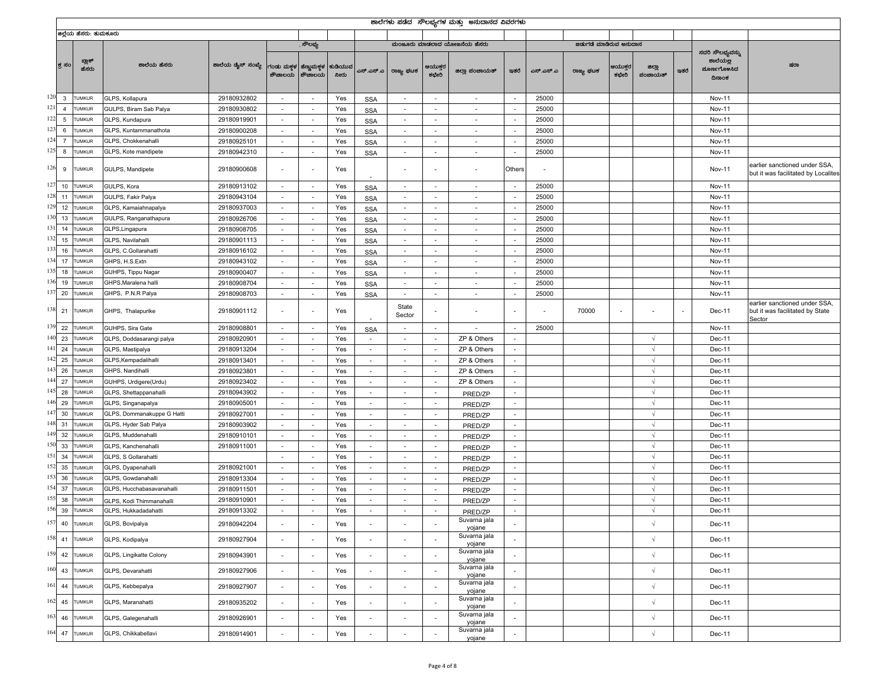|           |                |                        |                                 |                   |                          |                          |                 |                          |                          |                          | ಶಾಲೆಗಳು ಪಡೆದ  ಸೌಲಭ್ಯಗಳ ಮತ್ತು  ಅನುದಾನದ ವಿವರಗಳು |                          |           |                        |                   |                   |        |                                                       |                                                                            |
|-----------|----------------|------------------------|---------------------------------|-------------------|--------------------------|--------------------------|-----------------|--------------------------|--------------------------|--------------------------|-----------------------------------------------|--------------------------|-----------|------------------------|-------------------|-------------------|--------|-------------------------------------------------------|----------------------------------------------------------------------------|
|           |                | ಜಿಲ್ಲೆಯ ಹೆಸರು: ತುಮಕೂರು |                                 |                   |                          |                          |                 |                          |                          |                          |                                               |                          |           |                        |                   |                   |        |                                                       |                                                                            |
|           |                |                        |                                 |                   |                          | ಸೌಲಭ್ಯ                   |                 |                          |                          |                          | ಮಂಜೂರು ಮಾಡಲಾದ ಯೋಜನೆಯ ಹೆಸರು                    |                          |           | ಜಿಡುಗಡೆ ಮಾಡಿರುವ ಅನುದಾನ |                   |                   |        |                                                       |                                                                            |
|           | ಕ್ತ ಸಂ         | ಬ್ಲಾಕ್<br>ಹೆಸರು        | ಶಾಲೆಯ ಹೆಸರು                     | ಶಾಲೆಯ ಡೈಸ್ ಸಂಖ್ಯೆ | ಗಂಡು ಮಕ್ತಳ<br>ಶೌಚಾಲಯ     | ಹೆಣ್ಣುಮಕ್ತಳ<br>ಶೌಚಾಲಯ    | ಕುಡಿಯುವ<br>ನೀರು | ಎಸ್.ಎಸ್.ಎ                | ರಾಜ್ಯ ಫಟಕ                | ಆಯುಕ್ತರ<br>ಕಛೇರಿ         | ಜಿಲ್ಲಾ ಪಂಚಾಯತ್                                | ಇತರೆ                     | ಎಸ್.ಎಸ್.ಎ | ರಾಜ್ಯ ಘಟಕ              | ತಿಯುಕ್ತರ<br>ಕಛೇರಿ | ಜಿಲ್ಲಾ<br>ಪಂಚಾಯತ್ | ಇತರೆ   | ಸದರಿ ಸೌಲಭ್ಯವನ್ನು<br>ಶಾಲೆಯಲ್ಲ<br>ಮೂರ್ಣಗೊಳಸಿದ<br>ದಿನಾಂಕ | ಷರಾ                                                                        |
| $120 - 3$ |                | <b>TUMKUR</b>          | GLPS, Kollapura                 | 29180932802       | $\sim$                   | $\overline{\phantom{a}}$ | Yes             | <b>SSA</b>               | $\sim$                   | $\sim$                   | $\sim$                                        | $\sim$                   | 25000     |                        |                   |                   |        | Nov-11                                                |                                                                            |
| $121\,$   | $\overline{4}$ | <b>TUMKUR</b>          | GULPS, Biram Sab Palya          | 29180930802       | $\sim$                   | $\sim$                   | Yes             | <b>SSA</b>               | $\sim$                   | $\overline{\phantom{a}}$ | $\sim$                                        | $\sim$                   | 25000     |                        |                   |                   |        | <b>Nov-11</b>                                         |                                                                            |
| 122       | $\,$ 5 $\,$    | <b>TUMKUR</b>          | GLPS, Kundapura                 | 29180919901       | $\sim$                   | $\sim$                   | Yes             | <b>SSA</b>               | $\sim$                   | $\sim$                   | $\overline{\phantom{a}}$                      | $\sim$                   | 25000     |                        |                   |                   |        | <b>Nov-11</b>                                         |                                                                            |
| 123       | 6              | <b>TUMKUR</b>          | GLPS, Kuntammanathota           | 29180900208       | $\sim$                   | $\overline{\phantom{a}}$ | Yes             | <b>SSA</b>               | $\sim$                   | $\overline{\phantom{a}}$ | $\overline{\phantom{a}}$                      |                          | 25000     |                        |                   |                   |        | <b>Nov-11</b>                                         |                                                                            |
| 124       | $\overline{7}$ | <b>TUMKUR</b>          | GLPS, Chokkenahalli             | 29180925101       | $\sim$                   | $\sim$                   | Yes             | <b>SSA</b>               | $\sim$                   | $\sim$                   | $\sim$                                        | $\sim$                   | 25000     |                        |                   |                   |        | Nov-11                                                |                                                                            |
| 125       | 8              | <b>TUMKUR</b>          | GLPS, Kote mandipete            | 29180942310       | $\sim$                   | $\sim$                   | Yes             | <b>SSA</b>               | $\overline{\phantom{a}}$ | $\sim$                   | $\sim$                                        | $\sim$                   | 25000     |                        |                   |                   |        | Nov-11                                                |                                                                            |
| 126       | 9              | <b>TUMKUR</b>          | GULPS, Mandipete                | 29180900608       | $\overline{\phantom{a}}$ |                          | Yes             |                          |                          |                          |                                               | Others                   |           |                        |                   |                   |        | <b>Nov-11</b>                                         | earlier sanctioned under SSA,<br>but it was facilitated by Localites       |
| 127       | 10             | <b>TUMKUR</b>          | GULPS, Kora                     | 29180913102       | $\sim$                   | ٠                        | Yes             | <b>SSA</b>               | $\overline{\phantom{a}}$ | $\sim$                   | $\sim$                                        |                          | 25000     |                        |                   |                   |        | Nov-11                                                |                                                                            |
| 128       | 11             | <b>TUMKUR</b>          | GULPS, Fakir Palya              | 29180943104       | $\sim$                   | $\overline{\phantom{a}}$ | Yes             | <b>SSA</b>               | $\sim$                   | $\overline{\phantom{a}}$ | $\overline{\phantom{a}}$                      |                          | 25000     |                        |                   |                   |        | Nov-11                                                |                                                                            |
| 129       | 12             | <b>TUMKUR</b>          | GLPS, Kamaiahnapalya            | 29180937003       | $\sim$                   | $\overline{\phantom{a}}$ | Yes             | <b>SSA</b>               | $\overline{\phantom{a}}$ | $\sim$                   | $\overline{\phantom{a}}$                      | $\overline{\phantom{a}}$ | 25000     |                        |                   |                   |        | Nov-11                                                |                                                                            |
| 130       | 13             | <b>TUMKUR</b>          | GULPS, Ranganathapura           | 29180926706       | $\sim$                   | $\sim$                   | Yes             | <b>SSA</b>               | $\sim$                   | $\sim$                   | $\overline{\phantom{a}}$                      | $\sim$                   | 25000     |                        |                   |                   |        | Nov-11                                                |                                                                            |
| 131       | 14             | <b>TUMKUR</b>          | GLPS, Lingapura                 | 29180908705       | $\sim$                   | $\sim$                   | Yes             | <b>SSA</b>               | $\sim$                   | $\sim$                   | $\sim$                                        | $\sim$                   | 25000     |                        |                   |                   |        | Nov-11                                                |                                                                            |
| 132       | 15             | <b>TUMKUR</b>          | GLPS, Navilahalli               | 29180901113       | $\sim$                   | $\overline{\phantom{a}}$ | Yes             | <b>SSA</b>               | $\sim$                   | $\sim$                   | $\sim$                                        | $\sim$                   | 25000     |                        |                   |                   |        | Nov-11                                                |                                                                            |
| 133       | 16             | <b>TUMKUR</b>          | GLPS, C.Gollarahatti            | 29180916102       | $\sim$                   | $\overline{\phantom{a}}$ | Yes             | <b>SSA</b>               | $\sim$                   | $\overline{\phantom{a}}$ | $\overline{\phantom{a}}$                      | $\overline{\phantom{a}}$ | 25000     |                        |                   |                   |        | Nov-11                                                |                                                                            |
| 134       | 17             | <b>TUMKUR</b>          | GHPS, H.S.Extn                  | 29180943102       | $\overline{\phantom{a}}$ | $\overline{\phantom{a}}$ | Yes             | <b>SSA</b>               | $\overline{\phantom{a}}$ | $\sim$                   | $\overline{\phantom{a}}$                      | $\overline{\phantom{a}}$ | 25000     |                        |                   |                   |        | <b>Nov-11</b>                                         |                                                                            |
| 135       | 18             | <b>TUMKUR</b>          | GUHPS, Tippu Nagar              | 29180900407       | $\sim$                   | $\overline{\phantom{a}}$ | Yes             | <b>SSA</b>               | $\sim$                   | $\sim$                   | $\overline{\phantom{a}}$                      | $\sim$                   | 25000     |                        |                   |                   |        | Nov-11                                                |                                                                            |
| 136       | 19             | UMKUR                  | GHPS, Maralena halli            | 29180908704       | $\sim$                   | $\sim$                   | Yes             | <b>SSA</b>               | $\sim$                   | $\sim$                   | $\sim$                                        | $\sim$                   | 25000     |                        |                   |                   |        | Nov-11                                                |                                                                            |
| 137       | 20             | <b>UMKUR</b>           | GHPS, P.N.R Palya               | 29180908703       | $\sim$                   | $\overline{\phantom{a}}$ | Yes             | <b>SSA</b>               | $\sim$                   | $\sim$                   | $\overline{\phantom{a}}$                      | $\overline{\phantom{a}}$ | 25000     |                        |                   |                   |        | Nov-11                                                |                                                                            |
| 138 21    |                | <b>TUMKUR</b>          | GHPS, Thalapurike               | 29180901112       | $\overline{\phantom{a}}$ |                          | Yes             |                          | State<br>Sector          |                          |                                               |                          |           | 70000                  |                   |                   | $\sim$ | Dec-11                                                | earlier sanctioned under SSA,<br>but it was facilitated by State<br>Sector |
| 139       | 22             | <b>TUMKUR</b>          | GUHPS, Sira Gate                | 29180908801       | $\sim$                   | $\overline{a}$           | Yes             | <b>SSA</b>               | $\sim$                   |                          |                                               |                          | 25000     |                        |                   |                   |        | Nov-11                                                |                                                                            |
| 140       | 23             | <b>TUMKUR</b>          | GLPS, Doddasarangi palya        | 29180920901       | $\sim$                   |                          | Yes             |                          |                          |                          | ZP & Others                                   | $\sim$                   |           |                        |                   | $\sqrt{ }$        |        | Dec-11                                                |                                                                            |
| 141       | 24             | <b>TUMKUR</b>          | GLPS, Mastipalya                | 29180913204       | $\sim$                   | $\sim$                   | Yes             | $\sim$                   | $\sim$                   | $\sim$                   | ZP & Others                                   | $\sim$                   |           |                        |                   | $\sqrt{ }$        |        | Dec-11                                                |                                                                            |
| 142       | 25             | <b>TUMKUR</b>          | GLPS, Kempadalihalli            | 29180913401       | $\sim$                   | $\overline{\phantom{a}}$ | Yes             | $\overline{\phantom{a}}$ | $\overline{\phantom{a}}$ | $\sim$                   | ZP & Others                                   | $\sim$                   |           |                        |                   | $\sqrt{ }$        |        | Dec-11                                                |                                                                            |
| 143       | 26             | <b>UMKUR</b>           | GHPS, Nandihalli                | 29180923801       | $\sim$                   | $\sim$                   | Yes             | $\sim$                   | $\sim$                   | $\sim$                   | ZP & Others                                   | $\sim$                   |           |                        |                   | $\sqrt{ }$        |        | Dec-11                                                |                                                                            |
| 144       | 27             | UMKUR                  | GUHPS, Urdigere(Urdu)           | 29180923402       | $\sim$                   | ٠                        | Yes             | $\overline{\phantom{a}}$ | $\sim$                   | $\overline{\phantom{a}}$ | ZP & Others                                   | $\sim$                   |           |                        |                   | $\sqrt{ }$        |        | Dec-11                                                |                                                                            |
| 145       | 28             | UMKUR                  | GLPS, Shettappanahalli          | 29180943902       | $\sim$                   |                          | Yes             |                          |                          | $\overline{\phantom{a}}$ | PRED/ZP                                       | $\sim$                   |           |                        |                   | $\sqrt{ }$        |        | Dec-11                                                |                                                                            |
| 146       | 29             | <b>UMKUR</b>           | GLPS, Singanapalya              | 29180905001       | $\sim$                   | $\sim$                   | Yes             | $\sim$                   | $\sim$                   | $\sim$                   | PRED/ZP                                       | $\sim$                   |           |                        |                   | $\sqrt{ }$        |        | Dec-11                                                |                                                                            |
| 147       | 30             | UMKUR                  | GLPS, Dommanakuppe G Hatti      | 29180927001       | $\sim$                   | $\overline{\phantom{a}}$ | Yes             | $\overline{\phantom{a}}$ | $\overline{\phantom{a}}$ | $\sim$                   | PRED/ZP                                       | $\sim$                   |           |                        |                   | $\sqrt{ }$        |        | Dec-11                                                |                                                                            |
| 148       | 31             | <b>UMKUR</b>           | GLPS, Hyder Sab Palya           | 29180903902       | $\sim$                   | $\sim$                   | Yes             | $\sim$                   | $\sim$                   | $\sim$                   | PRED/ZP                                       | $\sim$                   |           |                        |                   | $\sqrt{ }$        |        | Dec-11                                                |                                                                            |
| 149       | 32             | UMKUR                  | GLPS, Muddenahalli              | 29180910101       | $\sim$                   | ٠                        | Yes             | $\overline{\phantom{a}}$ | $\sim$                   | $\overline{\phantom{a}}$ | PRED/ZP                                       | $\sim$                   |           |                        |                   | $\sqrt{ }$        |        | Dec-11                                                |                                                                            |
| 150       | 33             | <b>TUMKUR</b>          | GLPS, Kanchenahall              | 29180911001       | $\sim$                   |                          | Yes             |                          |                          | $\overline{\phantom{a}}$ | PRED/ZP                                       | $\sim$                   |           |                        |                   | $\sqrt{ }$        |        | Dec-11                                                |                                                                            |
| 151       | 34             | <b>UMKUR</b>           | GLPS, S Gollarahatti            |                   | $\sim$                   | $\sim$                   | Yes             | $\sim$                   | $\sim$                   | $\sim$                   | PRED/ZP                                       | $\sim$                   |           |                        |                   | $\sqrt{ }$        |        | Dec-11                                                |                                                                            |
| 152       | 35             | UMKUR                  | GLPS, Dyapenahalli              | 29180921001       | $\sim$                   | $\sim$                   | Yes             | $\overline{\phantom{a}}$ | $\sim$                   | $\sim$                   | PRED/ZP                                       | $\sim$                   |           |                        |                   | $\sqrt{ }$        |        | Dec-11                                                |                                                                            |
| 153       | 36             | <b>UMKUR</b>           | GLPS, Gowdanahalli              | 29180913304       | $\sim$                   | $\sim$                   | Yes             | $\sim$                   | $\sim$                   | $\sim$                   | PRED/ZP                                       | $\sim$                   |           |                        |                   | $\sqrt{ }$        |        | Dec-11                                                |                                                                            |
|           | 37             | UMKUR                  | GLPS, Hucchabasavanahalli       | 29180911501       | $\sim$                   | ٠                        | Yes             | $\overline{\phantom{a}}$ | $\sim$                   | $\overline{\phantom{a}}$ | PRED/ZP                                       | $\sim$                   |           |                        |                   | $\sqrt{ }$        |        | Dec-11                                                |                                                                            |
| 155       | 38             | UMKUR                  | <b>GLPS, Kodi Thimmanahalli</b> | 29180910901       |                          |                          | Yes             |                          |                          |                          | PRED/ZP                                       |                          |           |                        |                   | $\sqrt{ }$        |        | Dec-11                                                |                                                                            |
| 156       | 39             | <b>TUMKUR</b>          | GLPS, Hukkadadahatti            | 29180913302       | $\sim$                   | $\sim$                   | Yes             | $\sim$                   | $\sim$                   | $\sim$                   | PRED/ZP                                       | $\sim$                   |           |                        |                   | $\sqrt{ }$        |        | Dec-11                                                |                                                                            |
|           |                | 157 40 TUMKUR          | GLPS, Bovipalya                 | 29180942204       | $\sim$                   |                          | Yes             | $\overline{\phantom{a}}$ | $\overline{\phantom{a}}$ |                          | Suvama jala<br>yojane<br>Suvarna jala         |                          |           |                        |                   | $\sqrt{ }$        |        | Dec-11                                                |                                                                            |
|           |                | 158 41 TUMKUR          | GLPS, Kodipalya                 | 29180927904       | $\sim$                   | $\overline{\phantom{a}}$ | Yes             | $\overline{\phantom{a}}$ |                          |                          | yojane                                        |                          |           |                        |                   | $\sqrt{ }$        |        | Dec-11                                                |                                                                            |
| 159       | 42             | <b>TUMKUR</b>          | GLPS, Lingikatte Colony         | 29180943901       |                          | $\overline{\phantom{a}}$ | Yes             | $\overline{\phantom{a}}$ |                          |                          | Suvarna jala<br>yojane                        |                          |           |                        |                   | $\sqrt{ }$        |        | Dec-11                                                |                                                                            |
|           | 160 43         | <b>TUMKUR</b>          | GLPS, Devarahatti               | 29180927906       | $\sim$                   | $\overline{\phantom{a}}$ | Yes             | $\overline{\phantom{a}}$ | ٠                        |                          | Suvarna jala<br>yojane                        |                          |           |                        |                   | $\sqrt{ }$        |        | Dec-11                                                |                                                                            |
|           |                | 161 44 TUMKUR          | GLPS, Kebbepalya                | 29180927907       | $\overline{\phantom{a}}$ | $\overline{\phantom{a}}$ | Yes             | $\overline{\phantom{a}}$ | $\overline{a}$           | $\overline{\phantom{a}}$ | Suvarna jala<br>yojane                        | $\overline{\phantom{a}}$ |           |                        |                   | $\sqrt{ }$        |        | Dec-11                                                |                                                                            |
| 162       | 45             | <b>TUMKUR</b>          | GLPS, Maranahatti               | 29180935202       | $\overline{\phantom{a}}$ | $\overline{\phantom{a}}$ | Yes             | $\overline{\phantom{a}}$ |                          |                          | Suvarna jala<br>yojane                        | $\overline{\phantom{a}}$ |           |                        |                   | $\sqrt{ }$        |        | Dec-11                                                |                                                                            |
| 163       | 46             | <b>TUMKUR</b>          | GLPS, Galegenahalli             | 29180926901       | $\sim$                   | $\overline{\phantom{a}}$ | Yes             | $\overline{\phantom{a}}$ | ٠                        | $\overline{\phantom{a}}$ | Suvarna jala<br>yojane                        |                          |           |                        |                   | $\sqrt{ }$        |        | Dec-11                                                |                                                                            |
|           |                | 164 47 TUMKUR          | GLPS, Chikkabellavi             | 29180914901       | $\sim$                   |                          | Yes             | $\overline{\phantom{a}}$ |                          |                          | Suvarna jala<br>yojane                        |                          |           |                        |                   | $\sqrt{ }$        |        | Dec-11                                                |                                                                            |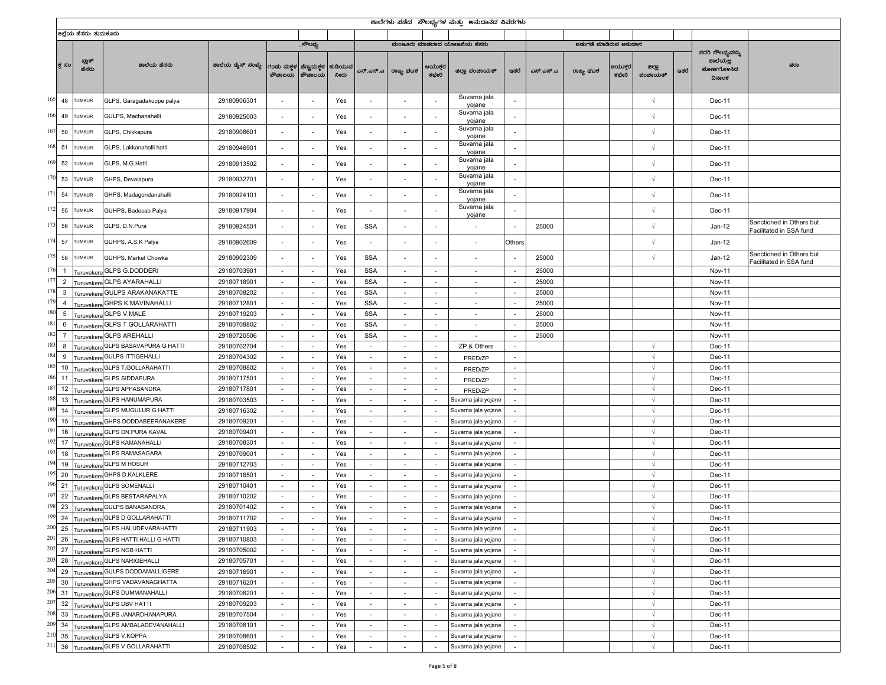|             |                     |                        |                                                                              |                            |                          |                          |                 |                                    |                                    |                          | ಶಾಲೆಗಳು ಪಡೆದ  ಸೌಲಭ್ಯಗಳ ಮತ್ತು  ಅನುದಾನದ ವಿವರಗಳು |                          |           |                        |                  |                          |      |                                                       |                                                     |
|-------------|---------------------|------------------------|------------------------------------------------------------------------------|----------------------------|--------------------------|--------------------------|-----------------|------------------------------------|------------------------------------|--------------------------|-----------------------------------------------|--------------------------|-----------|------------------------|------------------|--------------------------|------|-------------------------------------------------------|-----------------------------------------------------|
|             |                     | ಜಿಲ್ಲೆಯ ಹೆಸರು: ತುಮಕೂರು |                                                                              |                            |                          |                          |                 |                                    |                                    |                          |                                               |                          |           |                        |                  |                          |      |                                                       |                                                     |
|             |                     |                        |                                                                              |                            |                          | . ಸೌಲಭ್ಯ                 |                 |                                    |                                    |                          | ಮಂಜೂರು ಮಾಡಲಾದ ಯೋಜನೆಯ ಹೆಸರು                    |                          |           | ಜಿಡುಗಡೆ ಮಾಡಿರುವ ಅನುದಾನ |                  |                          |      |                                                       |                                                     |
|             | ಕ್ತ ಸಂ              | ಬ್ಲಾಕ್<br>ಹೆಸರು        | ಶಾಲೆಯ ಹೆಸರು                                                                  | ಶಾಲೆಯ ಡೈಸ್ ಸಂಖ್ಯೆ          | ಗಂಡು ಮಕ್ತಳ<br>ಶೌಚಾಲಯ     | ಹೆಣ್ಣುಮಕ್ತಳ<br>ಶೌಚಾಲಯ    | ಕುಡಿಯುವ<br>ನೀರು | ಎಸ್.ಎಸ್.ಎ                          | ರಾಜ್ಯ ಫಟಕ                          | ಆಯುಕ್ತರ<br>ಕಛೇರಿ         | ಜಿಲ್ಲಾ ಪಂಚಾಯತ್                                | ಇತರೆ                     | ಎಸ್.ಎಸ್.ಎ | ರಾಜ್ಯ ಫಟಕ              | ಆಯುಕ್ತರ<br>ಕಛೇರಿ | ಜಿಲ್ಲಾ<br>ಪಂಚಾಯತ್        | ಇತರೆ | ಸದರಿ ಸೌಲಭ್ಯವನ್ನು<br>ಶಾಲೆಯಲ್ಲ<br>ಮೂರ್ಣಗೊಳಸಿದ<br>ದಿನಾಂಕ | ಷರಾ                                                 |
| 165         | 48                  | <b>TUMKUR</b>          | GLPS, Garagadakuppe palya                                                    | 29180906301                |                          |                          | Yes             | ٠                                  |                                    |                          | Suvarna jala<br>yojane                        |                          |           |                        |                  | $\sqrt{ }$               |      | Dec-11                                                |                                                     |
| 166 49      |                     | <b>TUMKUR</b>          | GULPS, Machanahalli                                                          | 29180925003                |                          |                          | Yes             |                                    |                                    |                          | Suvarna jala<br>yojane                        |                          |           |                        |                  | $\sqrt{ }$               |      | Dec-11                                                |                                                     |
| 167         | 50                  | <b>TUMKUR</b>          | GLPS, Chikkapura                                                             | 29180908601                |                          |                          | Yes             | $\overline{a}$                     |                                    |                          | Suvarna jala<br>yojane                        |                          |           |                        |                  | $\sqrt{ }$               |      | Dec-11                                                |                                                     |
| 168         | 51                  | <b>TUMKUR</b>          | GLPS, Lakkanahalli hatti                                                     | 29180946901                | $\sim$                   |                          | Yes             | $\overline{\phantom{a}}$           |                                    |                          | Suvarna jala<br>yojane                        |                          |           |                        |                  | $\sqrt{ }$               |      | Dec-11                                                |                                                     |
| 169         | 52                  | <b>TUMKUR</b>          | GLPS, M.G.Hatti                                                              | 29180913502                |                          |                          | Yes             | ÷,                                 |                                    |                          | Suvarna jala<br>yojane                        |                          |           |                        |                  | $\sqrt{ }$               |      | Dec-11                                                |                                                     |
| 170         | 53                  | <b>TUMKUR</b>          | GHPS, Devalapura                                                             | 29180932701                |                          |                          | Yes             |                                    |                                    |                          | Suvarna jala<br>yojane                        |                          |           |                        |                  | $\sqrt{ }$               |      | Dec-11                                                |                                                     |
| 171         | 54                  | <b>TUMKUR</b>          | GHPS, Madagondanahalli                                                       | 29180924101                |                          |                          | Yes             | ÷,                                 |                                    |                          | Suvarna jala<br>yojane                        |                          |           |                        |                  | $\sqrt{ }$               |      | Dec-11                                                |                                                     |
| 172         | 55                  | <b>TUMKUR</b>          | GUHPS, Badesab Palya                                                         | 29180917904                | $\overline{\phantom{a}}$ | ÷,                       | Yes             | $\overline{\phantom{a}}$           |                                    |                          | Suvarna jala<br>yojane                        | $\overline{\phantom{a}}$ |           |                        |                  | $\sqrt{ }$               |      | Dec-11                                                |                                                     |
| 173         | 56                  | <b>TUMKUR</b>          | GLPS, D.N.Pura                                                               | 29180924501                | $\overline{\phantom{a}}$ | $\overline{\phantom{a}}$ | Yes             | <b>SSA</b>                         |                                    |                          | $\overline{\phantom{a}}$                      |                          | 25000     |                        |                  | $\sqrt{ }$               |      | $Jan-12$                                              | Sanctioned in Others but<br>acilitated in SSA fund  |
| 174         | 57                  | <b>TUMKUR</b>          | GUHPS, A.S.K Palya                                                           | 29180902609                |                          |                          | Yes             | $\overline{\phantom{a}}$           |                                    |                          | ÷.                                            | Others                   |           |                        |                  | $\sqrt{ }$               |      | $Jan-12$                                              |                                                     |
| 175         | 58                  | <b>TUMKUR</b>          | GUHPS, Market Chowka                                                         | 29180902309                | $\overline{\phantom{a}}$ |                          | Yes             | <b>SSA</b>                         | ÷,                                 |                          | $\overline{a}$                                | $\sim$                   | 25000     |                        |                  | $\sqrt{ }$               |      | $Jan-12$                                              | Sanctioned in Others but<br>Facilitated in SSA fund |
| 176         | $\overline{1}$      |                        | Turuvekere GLPS G.DODDERI                                                    | 29180703901                | $\sim$                   |                          | Yes             | <b>SSA</b>                         |                                    | $\overline{\phantom{a}}$ |                                               |                          | 25000     |                        |                  |                          |      | <b>Nov-11</b>                                         |                                                     |
| 177         | $\overline{2}$      | uruvekere              | <b>GLPS AYARAHALLI</b>                                                       | 29180718901                | $\sim$                   | $\sim$                   | Yes             | <b>SSA</b>                         | $\sim$                             | $\sim$                   | $\sim$                                        | $\sim$                   | 25000     |                        |                  |                          |      | Nov-11                                                |                                                     |
| 178         | $\mathbf{3}$        | <b>Turuveker</b>       | <b>GULPS ARAKANAKATTE</b>                                                    | 29180708202                | $\sim$                   | $\sim$                   | Yes             | <b>SSA</b>                         | $\sim$                             | $\sim$                   | $\sim$                                        | $\sim$                   | 25000     |                        |                  |                          |      | Nov-11                                                |                                                     |
| 179<br>180  | $\overline{4}$      | uruvekere              | <b>GHPS K.MAVINAHALLI</b>                                                    | 29180712801                | $\sim$                   | $\sim$                   | Yes             | <b>SSA</b>                         | $\sim$                             | $\sim$                   | $\sim$                                        | $\sim$                   | 25000     |                        |                  |                          |      | Nov-11                                                |                                                     |
| 181         | $\,$ 5 $\,$         | uruvekere              | <b>GLPS V.MALE</b>                                                           | 29180719203                | $\sim$                   | $\sim$                   | Yes             | <b>SSA</b>                         | $\overline{\phantom{a}}$           | $\sim$                   | $\overline{\phantom{a}}$                      | $\sim$                   | 25000     |                        |                  |                          |      | <b>Nov-11</b>                                         |                                                     |
| 182         | 6<br>$\overline{7}$ |                        | uruvekere GLPS T GOLLARAHATTI<br><b>GLPS AREHALLI</b>                        | 29180708802<br>29180720506 | $\sim$                   |                          | Yes             | <b>SSA</b><br><b>SSA</b>           |                                    | $\overline{\phantom{a}}$ |                                               |                          | 25000     |                        |                  |                          |      | <b>Nov-11</b>                                         |                                                     |
| 183         | 8                   | uruvekere              | GLPS BASAVAPURA G HATTI                                                      | 29180702704                | $\sim$<br>$\sim$         | $\sim$<br>$\sim$         | Yes<br>Yes      | $\sim$                             | $\sim$<br>$\sim$                   | $\sim$<br>$\sim$         | $\overline{\phantom{a}}$<br>ZP & Others       | $\sim$<br>$\sim$         | 25000     |                        |                  | $\sqrt{ }$               |      | Nov-11<br>Dec-11                                      |                                                     |
|             | 9                   | uruveker               | <b>GULPS ITTIGEHALLI</b>                                                     | 29180704302                | $\sim$                   | $\sim$                   | Yes             | $\overline{\phantom{a}}$           | $\sim$                             | $\sim$                   |                                               | $\sim$                   |           |                        |                  | $\sqrt{ }$               |      | Dec-11                                                |                                                     |
|             | 10                  | uruvekere              | uruvekere GLPS T.GOLLARAHATTI                                                | 29180708802                | $\sim$                   | $\sim$                   | Yes             | $\overline{\phantom{a}}$           | $\overline{\phantom{a}}$           | $\sim$                   | PRED/ZP<br>PRED/ZP                            | $\sim$                   |           |                        |                  | $\sqrt{ }$               |      | Dec-11                                                |                                                     |
|             | 11                  |                        | Turuvekere GLPS SIDDAPURA                                                    | 29180717501                | $\sim$                   |                          | Yes             |                                    |                                    | $\sim$                   | PRED/ZP                                       | $\sim$                   |           |                        |                  | $\sqrt{ }$               |      | Dec-11                                                |                                                     |
|             | 12                  |                        | uruvekere GLPS APPASANDRA                                                    | 29180717801                | $\sim$                   | $\sim$                   | Yes             | $\sim$                             | $\sim$                             | $\sim$                   | PRED/ZP                                       | $\sim$                   |           |                        |                  | $\sqrt{ }$               |      | Dec-11                                                |                                                     |
|             | 13                  | uruveken               | <b>GLPS HANUMAPURA</b>                                                       | 29180703503                | $\sim$                   | $\sim$                   | Yes             | $\sim$                             | $\sim$                             | $\sim$                   | Suvarna jala yojane                           | $\sim$                   |           |                        |                  | $\sqrt{ }$               |      | Dec-11                                                |                                                     |
|             | 14                  | uruvekere              | <b>GLPS MUGULUR G HATTI</b>                                                  | 29180716302                | $\sim$                   | $\sim$                   | Yes             | $\overline{\phantom{a}}$           | $\sim$                             | $\sim$                   | Suvarna jala yojane                           | $\sim$                   |           |                        |                  | $\sqrt{ }$               |      | Dec-11                                                |                                                     |
| 190         | 15                  |                        | uruvekere GHPS DODDABEERANAKERE                                              | 29180709201                | $\sim$                   | $\sim$                   | Yes             | $\overline{\phantom{a}}$           | $\overline{\phantom{a}}$           | $\sim$                   | Suvarna jala yojane                           |                          |           |                        |                  | $\sqrt{ }$               |      | Dec-11                                                |                                                     |
| 191         | 16                  |                        | Turuvekere GLPS DN PURA KAVAL                                                | 29180709401                | $\sim$                   |                          | Yes             |                                    |                                    |                          | Suvarna jala yojane                           |                          |           |                        |                  | $\sqrt{ }$               |      | Dec-11                                                |                                                     |
|             | 17                  |                        | uruvekere GLPS KAMANAHALLI                                                   | 29180708301                | $\sim$                   | $\sim$                   | Yes             | $\sim$                             | $\sim$                             | $\sim$                   | Suvarna jala yojane                           | $\sim$                   |           |                        |                  | $\sqrt{ }$               |      | Dec-11                                                |                                                     |
| 193         | 18                  | uruveken               | <b>GLPS RAMASAGARA</b>                                                       | 29180709001                | $\sim$                   | $\sim$                   | Yes             | $\overline{\phantom{a}}$           | $\sim$                             | $\sim$                   | Suvarna jala yojane                           | $\sim$                   |           |                        |                  | $\sqrt{ }$               |      | Dec-11                                                |                                                     |
|             | 19                  | uruvekere              | <b>GLPS M HOSUR</b>                                                          | 29180712703                | $\sim$                   | $\sim$                   | Yes             | $\overline{\phantom{a}}$           | $\sim$                             | $\sim$                   | Suvarna jala yojane                           | $\sim$                   |           |                        |                  | $\sqrt{ }$               |      | Dec-11                                                |                                                     |
|             | 20                  |                        | uruvekere GHPS D.KALKLERE                                                    | 29180718501                | $\sim$                   | $\sim$                   | Yes             | $\overline{\phantom{a}}$           | $\overline{\phantom{a}}$           | $\sim$                   | Suvarna jala yojane                           |                          |           |                        |                  | $\sqrt{ }$               |      | Dec-11                                                |                                                     |
|             | 21                  |                        | uruvekere GLPS SOMENALLI                                                     | 29180710401                | $\sim$                   |                          | Yes             |                                    |                                    | $\overline{\phantom{a}}$ | Suvarna jala yojane                           |                          |           |                        |                  | $\sqrt{ }$               |      | Dec-11                                                |                                                     |
|             | 22                  |                        | uruvekere GLPS BESTARAPALYA                                                  | 29180710202                | $\sim$                   | $\sim$                   | Yes             | $\sim$                             | $\sim$                             | $\sim$                   | Suvarna jala yojane                           | $\sim$                   |           |                        |                  | $\sqrt{ }$               |      | Dec-11                                                |                                                     |
|             | 23                  | Turuvekere             | <b>GULPS BANASANDRA</b>                                                      | 29180701402                | $\sim$                   | $\sim$                   | Yes             | $\sim$                             | $\sim$                             | $\sim$                   | Suvarna jala yojane                           | $\sim$                   |           |                        |                  | $\sqrt{ }$               |      | Dec-11                                                |                                                     |
| 199         |                     |                        | 24 Turuvekere GLPS D GOLLARAHATTI                                            | 29180711702                |                          |                          | Yes             |                                    |                                    |                          | Suvarna jala yojane                           |                          |           |                        |                  |                          |      | Dec-11                                                |                                                     |
|             |                     |                        | 200 25 Turuvekere GLPS HALUDEVARAHATTI                                       | 29180711903                | $\overline{\phantom{a}}$ | $\overline{\phantom{a}}$ | Yes             | $\sim$                             | $\overline{\phantom{a}}$           | $\sim$                   | Suvarna jala yojane                           |                          |           |                        |                  | $\sqrt{ }$               |      | Dec-11                                                |                                                     |
|             |                     |                        | 201 26 Turuvekere GLPS HATTI HALLI G HATTI                                   | 29180710803                | $\sim$                   |                          | Yes             |                                    |                                    |                          | Suvarna jala yojane                           |                          |           |                        |                  | $\sqrt{ }$               |      | Dec-11                                                |                                                     |
|             |                     |                        | 202 27 Turuvekere GLPS NGB HATTI                                             | 29180705002                | $\sim$                   | $\sim$                   | Yes             | $\sim$                             | $\sim$                             | $\sim$                   | Suvarna jala yojane                           | $\sim$                   |           |                        |                  | $\sqrt{ }$               |      | Dec-11                                                |                                                     |
|             |                     |                        | 203 28 Turuvekere GLPS NARIGEHALLI<br>204 29 Turuvekere GULPS DODDAMALLIGERE | 29180705701<br>29180716901 | $\sim$<br>$\sim$         | $\sim$<br>$\sim$         | Yes<br>Yes      | $\sim$<br>$\overline{\phantom{a}}$ | $\sim$<br>$\overline{\phantom{a}}$ | $\sim$<br>$\sim$         | Suvarna jala yojane<br>Suvarna jala yojane    | $\sim$<br>$\sim$         |           |                        |                  | $\sqrt{ }$<br>$\sqrt{ }$ |      | Dec-11<br>Dec-11                                      |                                                     |
| $205 - 30$  |                     |                        | Turuvekere GHPS VADAVANAGHATTA                                               | 29180716201                | $\sim$                   | $\sim$                   | Yes             | $\overline{\phantom{a}}$           | $\sim$                             | $\sim$                   | Suvarna jala yojane                           | $\sim$                   |           |                        |                  | $\sqrt{ }$               |      | Dec-11                                                |                                                     |
|             |                     |                        | 206 31 Turuvekere GLPS DUMMANAHALLI                                          | 29180708201                | $\sim$                   | $\overline{\phantom{a}}$ | Yes             |                                    |                                    | $\sim$                   | Suvarna jala yojane                           |                          |           |                        |                  | $\sqrt{ }$               |      | Dec-11                                                |                                                     |
| 207         |                     |                        | 32 Turuvekere GLPS DBV HATTI                                                 | 29180709203                | $\sim$                   | $\sim$                   | Yes             | $\sim$                             | $\sim$                             | $\sim$                   | Suvarna jala yojane                           | $\sim$                   |           |                        |                  | $\sqrt{ }$               |      | Dec-11                                                |                                                     |
|             |                     | $208$ 33 Turuvekere    | <b>GLPS JANARDHANAPURA</b>                                                   | 29180707504                | $\sim$                   | $\sim$                   | Yes             | $\sim$                             | $\sim$                             | $\sim$                   | Suvarna jala yojane                           | $\sim$                   |           |                        |                  | $\sqrt{ }$               |      | Dec-11                                                |                                                     |
| 209         |                     |                        | 34 Turuvekere GLPS AMBALADEVANAHALLI                                         | 29180708101                | $\sim$                   | $\sim$                   | Yes             | $\overline{\phantom{a}}$           | $\overline{\phantom{a}}$           | $\sim$                   | Suvarna jala yojane                           | $\sim$                   |           |                        |                  | $\sqrt{ }$               |      | Dec-11                                                |                                                     |
| $210^{3}35$ |                     |                        | Turuvekere GLPS V.KOPPA                                                      | 29180708601                | $\sim$                   | $\sim$                   | Yes             | $\sim$                             | $\sim$                             | $\sim$                   | Suvarna jala yojane                           | $\sim$                   |           |                        |                  | $\sqrt{ }$               |      | Dec-11                                                |                                                     |
| 21          |                     |                        | 36 Turuvekere GLPS V GOLLARAHATTI                                            | 29180708502                | $\sim$                   |                          | Yes             | $\sim$                             | $\sim$                             |                          | Suvarna jala yojane                           |                          |           |                        |                  | $\sqrt{ }$               |      | Dec-11                                                |                                                     |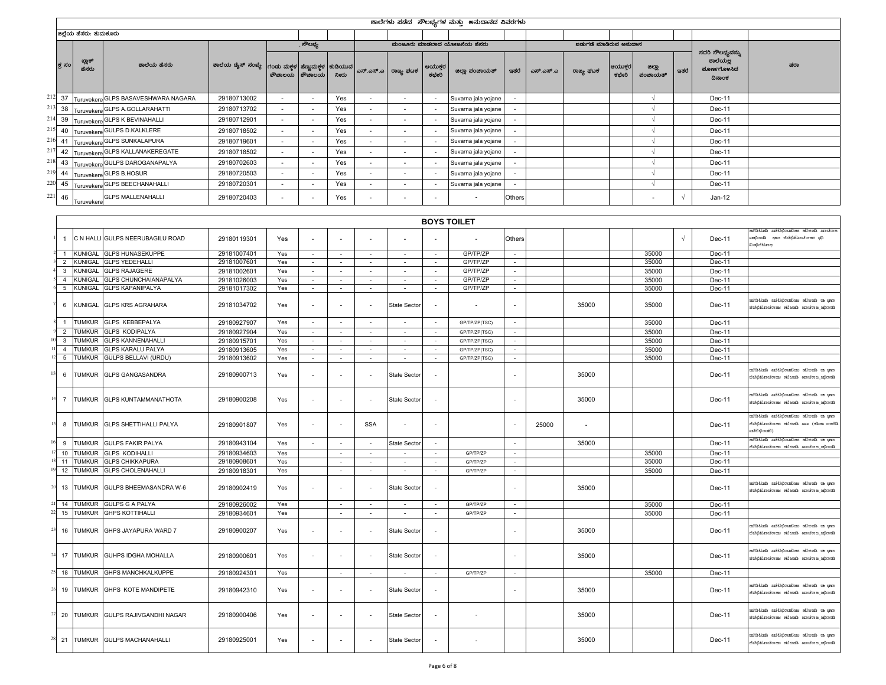|           |                                  |                                |                                                      |                                |                          |                          |                  |                          |                          |                                | ಶಾಲೆಗಳು ಪಡೆದ  ಸೌಲಭ್ಯಗಳ ಮತ್ತು  ಅನುದಾನದ ವಿವರಗಳು |                                       |           |                        |                  |                   |            |                                                       |                                                                                                           |
|-----------|----------------------------------|--------------------------------|------------------------------------------------------|--------------------------------|--------------------------|--------------------------|------------------|--------------------------|--------------------------|--------------------------------|-----------------------------------------------|---------------------------------------|-----------|------------------------|------------------|-------------------|------------|-------------------------------------------------------|-----------------------------------------------------------------------------------------------------------|
|           |                                  | ಜಿಲ್ಲೆಯ ಹೆಸರು: ತುಮಕೂರು         |                                                      |                                |                          |                          |                  |                          |                          |                                |                                               |                                       |           |                        |                  |                   |            |                                                       |                                                                                                           |
|           |                                  |                                |                                                      |                                |                          | ್ಷಕೌಲಭ್ಯ                 |                  |                          |                          |                                | ಮಂಜೂರು ಮಾಡಲಾದ ಯೋಜನೆಯ ಹೆಸರು                    |                                       |           | ಜಿಡುಗಡೆ ಮಾಡಿರುವ ಅನುದಾನ |                  |                   |            |                                                       |                                                                                                           |
|           | ಕ ಸಂ                             | ಬ್ಲಾಕ್<br>ಹೆಸರು                | ಶಾಲೆಯ ಹೆಸರು                                          | ಶಾಲೆಯ ಡೈಸ್ ಸಂಖ್ಯೆ   ಗಂಡು ಮಕ್ತಳ | ಶೌಚಾಲಯ                   | ಹೆಣ್ಣುಮಕ್ತಳ<br>ಶೌಚಾಲಯ    | ಕುಡಿಯುವ<br>ನೀರು  | ಎಸ್.ಎಸ್.ಎ                | ರಾಜ್ಯ ಫಟಕ                | ಆಯುಕ್ತರ<br>ಕಛೇರಿ               | ಜಿಲ್ಲಾ ಪಂಚಾಯತ್                                | ಇತರೆ                                  | ಎಸ್.ಎಸ್.ಎ | ರಾಜ್ಯ ಫಟಕ              | ಆಯುಕ್ತರ<br>ಕಛೇರಿ | ಜಿಲ್ಲಾ<br>ಪಂಚಾಯತ್ | ಇತರೆ       | ಸದರಿ ಸೌಲಭ್ಯವನ್ನು<br>ಶಾಲೆಯಲ್ಲ<br>ಮೂರ್ಣಗೊಳಸಿದ<br>ದಿನಾಂಕ | ಷರಾ                                                                                                       |
| 212 37    |                                  |                                | Turuvekere GLPS BASAVESHWARA NAGARA                  | 29180713002                    | $\sim$                   | $\sim$                   | Yes              | $\overline{\phantom{a}}$ | $\overline{\phantom{a}}$ | $\overline{\phantom{a}}$       | Suvarna jala yojane                           | $\sim$                                |           |                        |                  | $\sqrt{ }$        |            | Dec-11                                                |                                                                                                           |
| 213       | 38                               |                                | Turuvekere GLPS A.GOLLARAHATTI                       | 29180713702                    | $\overline{\phantom{a}}$ | $\sim$                   | Yes              | $\overline{\phantom{a}}$ |                          | $\overline{\phantom{a}}$       | Suvarna jala yojane                           | $\sim$                                |           |                        |                  | $\sqrt{ }$        |            | Dec-11                                                |                                                                                                           |
| 214       | 39                               |                                | Turuvekere GLPS K BEVINAHALLI                        | 29180712901                    | $\overline{\phantom{a}}$ | $\epsilon$               | Yes              |                          |                          | $\overline{\phantom{a}}$       | Suvarna jala yojane                           |                                       |           |                        |                  | $\sqrt{ }$        |            | Dec-11                                                |                                                                                                           |
| 215       | 40                               |                                | Turuvekere GULPS D.KALKLERE                          | 29180718502                    | $\sim$                   | $\sim$                   | Yes              | $\sim$                   | $\overline{\phantom{a}}$ | $\sim$                         | Suvarna jala yojane                           | $\sim$                                |           |                        |                  | $\sqrt{2}$        |            | Dec-11                                                |                                                                                                           |
| 216       | 41                               |                                | Turuvekere GLPS SUNKALAPURA                          | 29180719601                    | $\sim$                   | $\sim$                   | Yes              | $\sim$                   | $\sim$                   | $\overline{\phantom{a}}$       | Suvarna jala yojane                           | $\sim$                                |           |                        |                  | $\sqrt{ }$        |            | Dec-11                                                |                                                                                                           |
| 217       | 42                               | Turuvekere                     | <b>GLPS KALLANAKEREGATE</b>                          | 29180718502                    | $\overline{\phantom{a}}$ | $\epsilon$               | Yes              | $\overline{\phantom{a}}$ |                          |                                | Suvarna jala yojane                           | $\sim$                                |           |                        |                  | V                 |            | Dec-11                                                |                                                                                                           |
| 218       | 43                               |                                | Turuvekere GULPS DAROGANAPALYA                       | 29180702603                    | $\overline{\phantom{a}}$ | $\sim$                   | Yes              | $\sim$                   |                          |                                | Suvarna jala yojane                           | $\overline{\phantom{a}}$              |           |                        |                  | $\sqrt{ }$        |            | Dec-11                                                |                                                                                                           |
| 219       | 44                               |                                | Turuvekere GLPS B.HOSUR                              | 29180720503                    | $\overline{\phantom{a}}$ | $\epsilon$               | Yes              |                          |                          |                                | Suvarna jala yojane                           |                                       |           |                        |                  | $\sqrt{ }$        |            | Dec-11                                                |                                                                                                           |
| 220       | 45                               |                                | Turuvekere GLPS BEECHANAHALLI                        | 29180720301                    | $\sim$                   | $\sim$                   | Yes              | $\sim$                   | $\overline{\phantom{a}}$ | $\sim$                         | Suvarna jala yojane                           | $\sim$                                |           |                        |                  | $\sqrt{ }$        |            | Dec-11                                                |                                                                                                           |
| 221       | 46                               | Turuvekere                     | <b>GLPS MALLENAHALLI</b>                             | 29180720403                    |                          |                          | Yes              |                          |                          |                                |                                               | Others                                |           |                        |                  |                   | $\sqrt{2}$ | Jan-12                                                |                                                                                                           |
|           |                                  |                                |                                                      |                                |                          |                          |                  |                          |                          |                                |                                               |                                       |           |                        |                  |                   |            |                                                       |                                                                                                           |
|           |                                  |                                |                                                      |                                |                          |                          |                  |                          |                          |                                | <b>BOYS TOILET</b>                            |                                       |           |                        |                  |                   |            |                                                       |                                                                                                           |
|           | $\overline{1}$                   |                                | C N HALLI GULPS NEERUBAGILU ROAD                     | 29180119301                    | Yes                      |                          |                  |                          |                          |                                |                                               | Others                                |           |                        |                  |                   | $\sqrt{ }$ | Dec-11                                                | සභාවාභා භියන්ගි සත්වාදී භාවිතය භියවරණ<br>da szontsentközös ene, szontas<br>ಘಾಡಚಿತಿರಿಂದ                    |
|           | $\overline{1}$<br>$\overline{2}$ | KUNIGAL<br>KUNIGAL             | <b>GLPS HUNASEKUPPE</b><br><b>GLPS YEDEHALLI</b>     | 29181007401<br>29181007601     | Yes<br>Yes               | $\sim$                   | $\sim$<br>$\sim$ | $\sim$                   | $\sim$                   | $\sim$<br>$\sim$               | GP/TP/ZP<br>GP/TP/ZP                          | $\sim$                                |           |                        |                  | 35000<br>35000    |            | Dec-11                                                |                                                                                                           |
|           | 3                                | KUNIGAL                        | <b>GLPS RAJAGERE</b>                                 | 29181002601                    | Yes                      | $\sim$<br>$\sim$         | $\sim$           | $\sim$<br>$\sim$         | $\sim$<br>$\sim$         | $\sim$                         | GP/TP/ZP                                      | $\sim$<br>$\sim$                      |           |                        |                  | 35000             |            | Dec-11<br>Dec-11                                      |                                                                                                           |
|           | $\overline{4}$                   | <b>KUNIGAL</b>                 | GLPS CHUNCHAIANAPALYA                                | 29181026003                    | Yes                      | $\sim$                   | $\sim$           | ÷.                       | $\sim$                   | $\sim$                         | GP/TP/ZP                                      | $\sim$                                |           |                        |                  | 35000             |            | Dec-11                                                |                                                                                                           |
|           | $5\overline{5}$                  | KUNIGAL                        | <b>GLPS KAPANIPALYA</b>                              | 29181017302                    | Yes                      | $\sim$                   | $\sim$           | $\sim$                   | $\sim$                   | $\overline{\phantom{a}}$       | GP/TP/ZP                                      | $\sim$                                |           |                        |                  | 35000             |            | Dec-11                                                |                                                                                                           |
|           | 6                                | KUNIGAL                        | <b>GLPS KRS AGRAHARA</b>                             | 29181034702                    | Yes                      | $\sim$                   |                  |                          | State Sector             | $\overline{\phantom{a}}$       | $\sim$                                        | $\sim$                                |           | 35000                  |                  | 35000             |            | Dec-11                                                | mulatina antiquation minoration<br>ಮಿರುವುದು ಅವರಂಗಾ ಮೀಜರ್ಚಿ ಮಾರನಾಡುತ್ತಿರುತ                                 |
|           | $\overline{1}$                   | <b>TUMKUR</b>                  | <b>GLPS KEBBEPALYA</b>                               | 29180927907                    | Yes                      | $\sim$                   | $\sim$           | $\sim$                   | $\sim$                   | $\sim$                         | GP/TP/ZP(TSC)                                 | $\sim$                                |           |                        |                  | 35000             |            | Dec-11                                                |                                                                                                           |
|           | $\overline{2}$                   | <b>TUMKUR</b>                  | <b>GLPS KODIPALYA</b>                                | 29180927904                    | Yes                      | $\sim$                   |                  | $\overline{\phantom{a}}$ | $\sim$                   | $\overline{\phantom{a}}$       | GP/TP/ZP(TSC)                                 | $\overline{\phantom{a}}$              |           |                        |                  | 35000             |            | Dec-11                                                |                                                                                                           |
|           | $\mathbf{3}$<br>$\overline{4}$   | <b>TUMKUR</b><br><b>TUMKUR</b> | <b>GLPS KANNENAHALLI</b><br><b>GLPS KARALU PALYA</b> | 29180915701<br>29180913605     | Yes<br>Yes               | $\sim$<br>$\sim$         | $\sim$           | $\sim$                   | $\sim$                   | $\ddot{\phantom{1}}$<br>$\sim$ | GP/TP/ZP(TSC)<br>GP/TP/ZP(TSC)                | $\mathcal{L}_{\mathcal{A}}$<br>$\sim$ |           |                        |                  | 35000<br>35000    |            | Dec-11<br>Dec-11                                      |                                                                                                           |
|           | 5                                | TUMKUR                         | GULPS BELLAVI (URDU)                                 | 29180913602                    | Yes                      | $\sim$                   | $\sim$           | $\sim$                   | $\sim$                   | $\sim$                         | GP/TP/ZP(TSC)                                 | $\sim$                                |           |                        |                  | 35000             |            | Dec-11                                                |                                                                                                           |
| 13        | 6                                | Tumkur                         | <b>GLPS GANGASANDRA</b>                              | 29180900713                    | Yes                      | $\sim$                   |                  |                          | State Sector             | ÷,                             |                                               | $\overline{\phantom{a}}$              |           | 35000                  |                  |                   |            | <b>Dec-11</b>                                         | emp as desside saidopthics daiddia<br>ಖೆಂದಲ್ಲಿ ಪರಾಜಿಯಾ ಮೆಜರ್ಚು ಚಾರ್ಯಚಭಿಸಿದೆ.                              |
|           | $\overline{7}$                   |                                | TUMKUR GLPS KUNTAMMANATHOTA                          | 29180900208                    | Yes                      | $\overline{\phantom{a}}$ |                  |                          | State Sector             | ÷                              |                                               |                                       |           | 35000                  |                  |                   |            | <b>Dec-11</b>                                         | emp as desside saidopthics daiddia<br>ನಿರಾದ್ರಜ, ಜನರಣದ ಮೊದಲಿತ ಮಾಡಬಾರುವುದಿಗೆ ಬಿ                             |
|           | 8                                |                                | TUMKUR GLPS SHETTIHALLI PALYA                        | 29180901807                    | Yes                      | $\overline{\phantom{a}}$ |                  | <b>SSA</b>               |                          |                                |                                               | $\overline{\phantom{a}}$              | 25000     |                        |                  |                   |            | Dec-11                                                | mulation and the said discolation and disc<br>structure and an annotant arrotonitific<br>azi 61 ¢) razál) |
|           | 9                                | <b>TUMKUR</b>                  | <b>GULPS FAKIR PALYA</b>                             | 29180943104                    | Yes                      | $\sim$                   | $\sim$           | $\sim$                   | <b>State Sector</b>      | $\sim$                         |                                               | $\sim$                                |           | 35000                  |                  |                   |            | Dec-11                                                | සාම සා භික්තුව නැතිවීම සම්බන්ධයෙන් සිදුවන<br>ನಿಯೋಜ ಅವರು ಮಾಡುತ್ತಿದೆ. ಮಾಡಬೇಕು ಮೊದ                           |
|           | 10<br>11                         | <b>TUMKUR</b><br><b>TUMKUR</b> | <b>GLPS KODIHALLI</b>                                | 29180934603                    | Yes                      |                          | $\sim$           | $\overline{\phantom{a}}$ |                          | $\overline{\phantom{a}}$<br>÷, | GP/TP/ZP<br>GP/TP/ZP                          | $\sim$<br>$\sim$                      |           |                        |                  | 35000<br>35000    |            | Dec-11                                                |                                                                                                           |
|           | 12                               | Tumkur                         | <b>GLPS CHIKKAPURA</b><br><b>GLPS CHOLENAHALLI</b>   | 29180908601<br>29180918301     | Yes<br>Yes               |                          | $\sim$           | $\sim$                   | $\sim$                   | $\sim$                         | GP/TP/ZP                                      | $\sim$                                |           |                        |                  | 35000             |            | Dec-11<br>Dec-11                                      |                                                                                                           |
| 20        | 13                               | <b>TUMKUR</b>                  | GULPS BHEEMASANDRA W-6                               | 29180902419                    | Yes                      |                          |                  |                          | <b>State Sector</b>      | $\sim$                         |                                               | $\sim$                                |           | 35000                  |                  |                   |            | Dec-11                                                | mus ar dresh artikoakin drine drihatr<br>ಮೊದಲ್ಲಿ ಅಣದಿಂದ ಮೊದಡಿ ಹಂದಿಂದಮೊದಿನ                                 |
|           | $21 - 14$                        | TUMKUR                         | <b>GULPS G A PALYA</b>                               | 29180926002                    | Yes                      |                          | $\sim$           | $\sim$                   | $\sim$                   | $\sim$                         | GP/TP/ZP                                      | $\sim$                                |           |                        |                  | 35000             |            | Dec-11                                                |                                                                                                           |
| 22        | 15                               |                                | TUMKUR GHPS KOTTIHALLI                               | 29180934601                    | Yes                      |                          | $\sim$           | $\sim$                   | $\sim$                   | $\sim$                         | GP/TP/ZP                                      | $\sim$                                |           |                        |                  | 35000             |            | Dec-11                                                |                                                                                                           |
| 23        | 16                               |                                | TUMKUR GHPS JAYAPURA WARD 7                          | 29180900207                    | Yes                      | $\overline{\phantom{a}}$ |                  |                          | State Sector             |                                |                                               | $\overline{\phantom{a}}$              |           | 35000                  |                  |                   |            | <b>Dec-11</b>                                         | mulation and antimolities abilities<br>ನಿರಾಧಿತು. ಜನಚಿಯಾ ಮೆಜೆಚಿನ ಚಾಲಾಟರಾತ್ರೆ ಬೆಳೆ                          |
|           | $24$ 17                          | TUMKUR                         | GUHPS IDGHA MOHALLA                                  | 29180900601                    | Yes                      | $\sim$                   |                  |                          | State Sector             | $\overline{\phantom{a}}$       |                                               | $\overline{\phantom{a}}$              |           | 35000                  |                  |                   |            | Dec-11                                                | erta dari darah sarikan dailita dailani<br>ಖಿರುದ್ದಿಲ್ಲ. ಜನಾಟರಣ ಮೊದಲಾಗಿ ಆದಾರುವಾಗಿತುದಿದೆ.                   |
| $25 - 18$ |                                  | <b>TUMKUR</b>                  | GHPS MANCHKALKUPPE                                   | 29180924301                    | Yes                      |                          | $\sim$           | $\sim$                   |                          | $\sim$                         | GP/TP/ZP                                      | $\mathcal{L}_{\mathcal{A}}$           |           |                        |                  | 35000             |            | Dec-11                                                |                                                                                                           |
| 26        | 19                               | TUMKUR                         | GHPS KOTE MANDIPETE                                  | 29180942310                    | Yes                      | $\sim$                   |                  |                          | State Sector             | $\overline{a}$                 |                                               | $\blacksquare$                        |           | 35000                  |                  |                   |            | Dec-11                                                | mulation ariginalism mathematics ariginalism<br>ನೆಡೆಬಿಟ್ಟು ಏಣದಿಂದು ಮೆರಡಿ ಹುಣದಿಂದು ಮಾಡುತ್ತಿರುತ             |
| 27        | 20                               |                                | TUMKUR GULPS RAJIVGANDHI NAGAR                       | 29180900406                    | Yes                      | $\sim$                   |                  |                          | State Sector             | $\sim$                         | $\sim$                                        |                                       |           | 35000                  |                  |                   |            | Dec-11                                                | mus ar dresh artikoakin drine drihatr<br>design setem design anetenistral                                 |
| $28$ 21   |                                  | tumkur                         | <b>GULPS MACHANAHALLI</b>                            | 29180925001                    | Yes                      | $\overline{\phantom{a}}$ |                  |                          | State Sector             | $\overline{\phantom{a}}$       | $\sim$                                        |                                       |           | 35000                  |                  |                   |            | Dec-11                                                | ent as drestles emigraphican database<br>design setem design anetenistral                                 |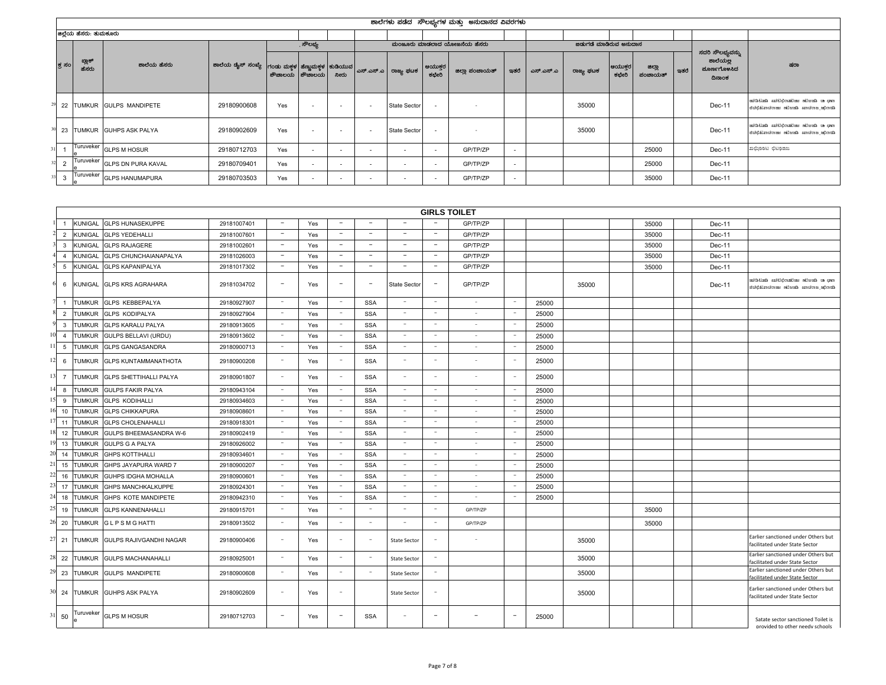|        |                        |                              |                                                                                           |     |                  |                          |                          |                          |                          | ಶಾಲೆಗಳು ಪಡೆದ ಸೌಲಭ್ಯಗಳ ಮತ್ತು ಅನುದಾನದ ವಿವರಗಳು |                          |           |                        |                  |                   |      |                                                       |                                                                         |
|--------|------------------------|------------------------------|-------------------------------------------------------------------------------------------|-----|------------------|--------------------------|--------------------------|--------------------------|--------------------------|---------------------------------------------|--------------------------|-----------|------------------------|------------------|-------------------|------|-------------------------------------------------------|-------------------------------------------------------------------------|
|        | ಜಿಲ್ಲೆಯ ಹೆಸರು: ತುಮಕೂರು |                              |                                                                                           |     |                  |                          |                          |                          |                          |                                             |                          |           |                        |                  |                   |      |                                                       |                                                                         |
|        |                        |                              |                                                                                           |     | . ಸೌಲಭ್ಯ         |                          |                          |                          |                          | ಮಂಜೂರು ಮಾಡಲಾದ ಯೋಜನೆಯ ಹೆಸರು                  |                          |           | ಜಿಡುಗಡೆ ಮಾಡಿರುವ ಅನುದಾನ |                  |                   |      |                                                       |                                                                         |
| ಕ್ತ ಸಂ | ಬ್ಲಾಕ್<br>ಹೆಸರು        | ಶಾಲೆಯ ಹೆಸರು                  | ಶಾಲೆಯ ಡೈಸ್ ಸಂಖ್ಯೆ   ಗಂಡು ಮಕ್ಕಳ  ಹೆಣ್ಣುಮಕ್ಕಳ  ಕುಡಿಯುವ   ಎಸ್.ಎಸ್.ಎ   ರಾಜ್ಯ ಫಟಕ <sup> </sup> |     | ಶೌಚಾಲಯ ಶೌಚಾಲಯ    | ನೀರು                     |                          |                          | ಆಯುಕ್ತರ<br>ಕಛೇರಿ         | ಜಿಲ್ಲಾ ಪಂಚಾಯತ್                              | ಇತರೆ $ $                 | ಎಸ್.ಎಸ್.ಎ | ರಾಜ್ಯ ಘಟಕ              | ಆಯುಕ್ತರ<br>ಕಛೇರಿ | ಜಿಲ್ಲಾ<br>ಪಂಚಾಯತ್ | ಇತರೆ | ಸದರಿ ಸೌಲಭ್ಯವನ್ನು<br>ಶಾಲೆಯಲ್ಲ<br>ಮೂರ್ಣಗೊಳಸಿದ<br>ದಿನಾಂಕ | ಷರಾ                                                                     |
|        |                        | 22 TUMKUR GULPS MANDIPETE    | 29180900608                                                                               | Yes | <b>CONTINUES</b> | $\sim$                   | $\overline{\phantom{a}}$ | <b>State Sector</b>      | $\sim$                   |                                             |                          |           | 35000                  |                  |                   |      | Dec-11                                                | ಯಾತಿ ಮಾಡುವುದು ಮಾಡಬೇಕಾ ಮಾಡುವ ಸಾಧಿಸುವ<br>ಮಿರಾಭಿಖಾಚಣಜಾ ಮೆಜೆಟ್ ಜಾಣದಿಣದೆ.ಬಿಟ |
|        |                        | 23 TUMKUR GUHPS ASK PALYA    | 29180902609                                                                               | Yes |                  | $\overline{\phantom{a}}$ | $\sim$                   | State Sector             | $\sim$                   |                                             |                          |           | 35000                  |                  |                   |      | Dec-11                                                | miatina endidentime misch a que<br>ಮಿರಾಭಿಖಾಚಣಜಾ ಮೆಜೆಟ್ ಜಾಣದಿಣದೆ.ಬಿಟ     |
|        |                        | Turuveker GLPS M HOSUR       | 29180712703                                                                               | Yes |                  |                          |                          | $\overline{\phantom{a}}$ | $\overline{\phantom{a}}$ | GP/TP/ZP                                    | $\overline{\phantom{a}}$ |           |                        |                  | 25000             |      | Dec-11                                                | ಖಛ್ರಿಂಂಟ ಛಿಟಂಜಜ                                                         |
|        |                        | Turuveker GLPS DN PURA KAVAL | 29180709401                                                                               | Yes |                  | $\overline{\phantom{a}}$ |                          | $\overline{\phantom{a}}$ | $\overline{\phantom{a}}$ | GP/TP/ZP                                    | $\overline{\phantom{a}}$ |           |                        |                  | 25000             |      | Dec-11                                                |                                                                         |
|        |                        | 3 Turuveker GLPS HANUMAPURA  | 29180703503                                                                               | Yes |                  | $\overline{\phantom{a}}$ |                          | $\overline{\phantom{a}}$ | $\sim$                   | GP/TP/ZP                                    | $\overline{\phantom{a}}$ |           |                        |                  | 35000             |      | Dec-11                                                |                                                                         |

|                |                |                                |             |                          |     |                                 |                          |                          |                          | <b>GIRLS TOILET</b>      |                          |       |       |       |        |                                                                           |
|----------------|----------------|--------------------------------|-------------|--------------------------|-----|---------------------------------|--------------------------|--------------------------|--------------------------|--------------------------|--------------------------|-------|-------|-------|--------|---------------------------------------------------------------------------|
|                | <b>KUNIGAL</b> | <b>GLPS HUNASEKUPPE</b>        | 29181007401 | $\overline{\phantom{a}}$ | Yes | $\overline{\phantom{a}}$        | $\sim$                   | $\overline{\phantom{a}}$ |                          | GP/TP/ZP                 |                          |       |       | 35000 | Dec-11 |                                                                           |
| 2              | KUNIGAI        | <b>GLPS YEDEHALLI</b>          | 29181007601 | $\overline{\phantom{a}}$ | Yes | $\overline{\phantom{a}}$        | $\overline{\phantom{a}}$ | $\overline{a}$           | $\overline{\phantom{a}}$ | GP/TP/ZP                 |                          |       |       | 35000 | Dec-11 |                                                                           |
| 3              | <b>KUNIGAL</b> | <b>GLPS RAJAGERE</b>           | 29181002601 | $\overline{\phantom{a}}$ | Yes | $\hspace{0.1mm}-\hspace{0.1mm}$ | $\overline{\phantom{a}}$ | $\overline{\phantom{a}}$ | $\overline{\phantom{a}}$ | GP/TP/ZP                 |                          |       |       | 35000 | Dec-11 |                                                                           |
| 4              | Kunigal        | GLPS CHUNCHAIANAPALYA          | 29181026003 | $\sim$                   | Yes | $\overline{\phantom{a}}$        | $\overline{\phantom{a}}$ | $\overline{\phantom{a}}$ | $\overline{\phantom{a}}$ | GP/TP/ZP                 |                          |       |       | 35000 | Dec-11 |                                                                           |
| 5              | <b>KUNIGAL</b> | <b>GLPS KAPANIPALYA</b>        | 29181017302 | $\sim$                   | Yes | $\overline{\phantom{a}}$        | $\overline{\phantom{a}}$ | $\overline{\phantom{a}}$ | $\overline{\phantom{a}}$ | GP/TP/ZP                 |                          |       |       | 35000 | Dec-11 |                                                                           |
|                | 6 KUNIGAL      | <b>GLPS KRS AGRAHARA</b>       | 29181034702 | $\overline{\phantom{a}}$ | Yes |                                 | $\qquad \qquad -$        | <b>State Sector</b>      | $\overline{\phantom{a}}$ | GP/TP/ZP                 |                          |       | 35000 |       | Dec-11 | mus ar dreshim artimetika ditu<br>ನಿರಬಿತ್ತು. ಜನಬರ್ಣ ಮೆಜರ್ಜೆ ಮಾನುಣತ್ತು. ಬಿ |
|                | TUMKUR         | <b>GLPS KEBBEPALYA</b>         | 29180927907 | $\sim$                   | Yes | $\sim$                          | <b>SSA</b>               | $\sim$                   | $\overline{\phantom{a}}$ | $\sim$                   | $\overline{\phantom{a}}$ | 25000 |       |       |        |                                                                           |
| 2              | TUMKUR         | <b>GLPS KODIPALYA</b>          | 29180927904 | $\sim$                   | Yes | $\hspace{0.1mm}-\hspace{0.1mm}$ | <b>SSA</b>               | $\sim$                   | $\overline{\phantom{a}}$ | $\sim$                   | $\overline{\phantom{a}}$ | 25000 |       |       |        |                                                                           |
| 3              | TUMKUR         | <b>GLPS KARALU PALYA</b>       | 29180913605 | $\sim$                   | Yes | $\overline{\phantom{a}}$        | <b>SSA</b>               | $\sim$                   | $\overline{\phantom{a}}$ | $\sim$                   | $\overline{\phantom{a}}$ | 25000 |       |       |        |                                                                           |
| $\overline{4}$ | <b>TUMKUR</b>  | GULPS BELLAVI (URDU)           | 29180913602 | $\sim$                   | Yes | $\sim$                          | <b>SSA</b>               | $\sim$                   | $\overline{\phantom{a}}$ | $\sim$                   | $\overline{\phantom{a}}$ | 25000 |       |       |        |                                                                           |
| 5              | <b>TUMKUR</b>  | <b>GLPS GANGASANDRA</b>        | 29180900713 | $\sim$                   | Yes | $\sim$                          | <b>SSA</b>               | $\sim$                   | $\overline{\phantom{a}}$ | $\sim$                   | $\overline{\phantom{a}}$ | 25000 |       |       |        |                                                                           |
| 6              | tumkur         | <b>GLPS KUNTAMMANATHOTA</b>    | 29180900208 | $\sim$                   | Yes | $\overline{a}$                  | <b>SSA</b>               | ÷.                       | $\overline{\phantom{a}}$ | $\sim$                   |                          | 25000 |       |       |        |                                                                           |
| $\overline{7}$ | <b>TUMKUR</b>  | <b>GLPS SHETTIHALLI PALYA</b>  | 29180901807 | $\sim$                   | Yes | $\sim$                          | <b>SSA</b>               | $\sim$                   | $\sim$                   | $\sim$                   | ÷,                       | 25000 |       |       |        |                                                                           |
| 8              | <b>TUMKUR</b>  | <b>GULPS FAKIR PALYA</b>       | 29180943104 | $\sim$                   | Yes | $\overline{\phantom{a}}$        | <b>SSA</b>               | $\sim$                   | $\overline{\phantom{a}}$ | $\sim$                   |                          | 25000 |       |       |        |                                                                           |
| 9              | Tumkur         | <b>GLPS KODIHALLI</b>          | 29180934603 | $\sim$                   | Yes | $\sim$                          | <b>SSA</b>               | $\sim$                   | $\sim$                   | $\sim$                   | $\overline{\phantom{a}}$ | 25000 |       |       |        |                                                                           |
| 10             | TUMKUR         | <b>GLPS CHIKKAPURA</b>         | 29180908601 | $\sim$                   | Yes | $\overline{\phantom{a}}$        | SSA                      | $\sim$                   | $\overline{\phantom{a}}$ | $\sim$                   | $\overline{\phantom{a}}$ | 25000 |       |       |        |                                                                           |
| 11             | <b>TUMKUR</b>  | <b>GLPS CHOLENAHALLI</b>       | 29180918301 | $\sim$                   | Yes | $\overline{\phantom{a}}$        | <b>SSA</b>               | ٠                        | $\overline{\phantom{a}}$ | $\sim$                   |                          | 25000 |       |       |        |                                                                           |
| 12             | <b>TUMKUR</b>  | GULPS BHEEMASANDRA W-6         | 29180902419 | $\sim$                   | Yes | $\overline{\phantom{a}}$        | <b>SSA</b>               | $\sim$                   | $\overline{\phantom{a}}$ | $\sim$                   | $\overline{\phantom{a}}$ | 25000 |       |       |        |                                                                           |
| 13             | <b>TUMKUR</b>  | <b>GULPS G A PALYA</b>         | 29180926002 | $\sim$                   | Yes | $\sim$                          | <b>SSA</b>               | $\overline{\phantom{a}}$ | $\overline{\phantom{a}}$ |                          | $\overline{\phantom{a}}$ | 25000 |       |       |        |                                                                           |
| 14             | <b>TUMKUR</b>  | <b>GHPS KOTTIHALLI</b>         | 29180934601 | $\sim$                   | Yes | $\sim$                          | <b>SSA</b>               | $\overline{\phantom{a}}$ | $\sim$                   | $\sim$                   | $\overline{\phantom{a}}$ | 25000 |       |       |        |                                                                           |
| 15             | <b>TUMKUR</b>  | GHPS JAYAPURA WARD 7           | 29180900207 |                          | Yes | $\overline{\phantom{a}}$        | <b>SSA</b>               |                          |                          |                          |                          | 25000 |       |       |        |                                                                           |
| 16             | <b>TUMKUR</b>  | GUHPS IDGHA MOHALLA            | 29180900601 | $\sim$                   | Yes | $\overline{\phantom{a}}$        | <b>SSA</b>               | $\sim$                   | $\overline{\phantom{a}}$ | $\sim$                   |                          | 25000 |       |       |        |                                                                           |
| 17             | <b>TUMKUR</b>  | GHPS MANCHKALKUPPE             | 29180924301 | $\sim$                   | Yes | $\overline{\phantom{a}}$        | <b>SSA</b>               | $\sim$                   | $\overline{\phantom{a}}$ | $\sim$                   |                          | 25000 |       |       |        |                                                                           |
| 18             | Tumkur         | GHPS KOTE MANDIPETE            | 29180942310 | $\sim$                   | Yes | $\sim$                          | <b>SSA</b>               | $\sim$                   | $\sim$                   | $\sim$                   | $\sim$                   | 25000 |       |       |        |                                                                           |
| 19             | <b>TUMKUR</b>  | <b>GLPS KANNENAHALLI</b>       | 29180915701 |                          | Yes | $\overline{\phantom{a}}$        | $\overline{\phantom{a}}$ |                          | $\overline{\phantom{a}}$ | GP/TP/ZP                 |                          |       |       | 35000 |        |                                                                           |
| 20             | tumkur         | <b>GLPSMGHATTI</b>             | 29180913502 | $\sim$                   | Yes |                                 | $\overline{\phantom{a}}$ |                          | . .                      | GP/TP/ZP                 |                          |       |       | 35000 |        |                                                                           |
| 21             |                | TUMKUR GULPS RAJIVGANDHI NAGAR | 29180900406 | $\sim$                   | Yes |                                 | $\overline{\phantom{a}}$ | <b>State Sector</b>      |                          | $\sim$                   |                          |       | 35000 |       |        | Earlier sanctioned under Others but<br>facilitated under State Sector     |
| 22             | <b>TUMKUR</b>  | GULPS MACHANAHALLI             | 29180925001 |                          | Yes |                                 | $\sim$                   | <b>State Sector</b>      |                          |                          |                          |       | 35000 |       |        | Earlier sanctioned under Others but<br>acilitated under State Sector      |
| 23             | <b>TUMKUR</b>  | <b>GULPS MANDIPETE</b>         | 29180900608 | $\sim$                   | Yes | $\sim$                          | $\sim$                   | State Sector             | $\overline{\phantom{a}}$ |                          |                          |       | 35000 |       |        | Earlier sanctioned under Others but<br>facilitated under State Sector     |
| 24             | <b>TUMKUR</b>  | <b>GUHPS ASK PALYA</b>         | 29180902609 | $\sim$                   | Yes | ٠                               |                          | State Sector             | $\overline{\phantom{a}}$ |                          |                          |       | 35000 |       |        | Earlier sanctioned under Others but<br>facilitated under State Sector     |
| 50             | Turuveker      | <b>GLPS M HOSUR</b>            | 29180712703 | $\overline{\phantom{a}}$ | Yes | $\overline{\phantom{a}}$        | <b>SSA</b>               | $\sim$                   | $\overline{\phantom{a}}$ | $\overline{\phantom{a}}$ |                          | 25000 |       |       |        | Satate sector sanctioned Toilet is<br>provided to other needy schools     |